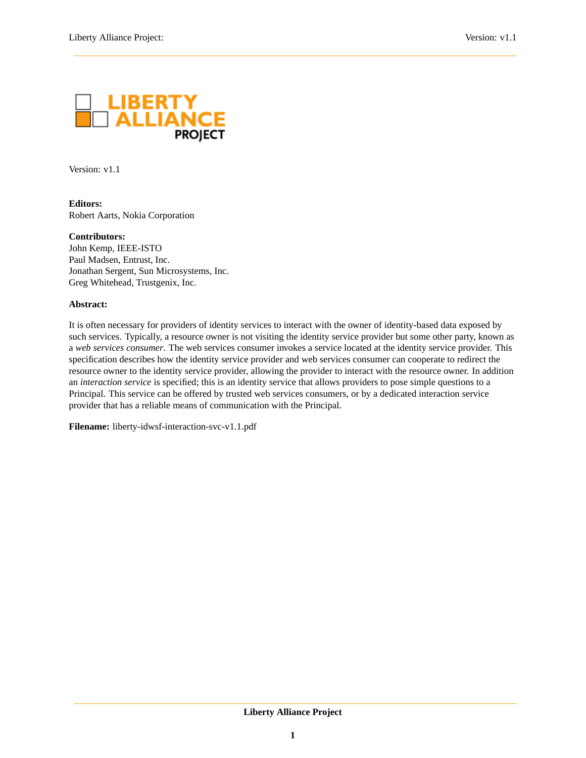<span id="page-0-0"></span>

Version: v1.1

**Editors:** Robert Aarts, Nokia Corporation

**Contributors:** John Kemp, IEEE-ISTO Paul Madsen, Entrust, Inc. Jonathan Sergent, Sun Microsystems, Inc.

Greg Whitehead, Trustgenix, Inc.

#### **Abstract:**

It is often necessary for providers of identity services to interact with the owner of identity-based data exposed by such services. Typically, a resource owner is not visiting the identity service provider but some other party, known as a *web services consumer*. The web services consumer invokes a service located at the identity service provider. This specification describes how the identity service provider and web services consumer can cooperate to redirect the resource owner to the identity service provider, allowing the provider to interact with the resource owner. In addition an *interaction service* is specified; this is an identity service that allows providers to pose simple questions to a Principal. This service can be offered by trusted web services consumers, or by a dedicated interaction service provider that has a reliable means of communication with the Principal.

**Filename:** liberty-idwsf-interaction-svc-v1.1.pdf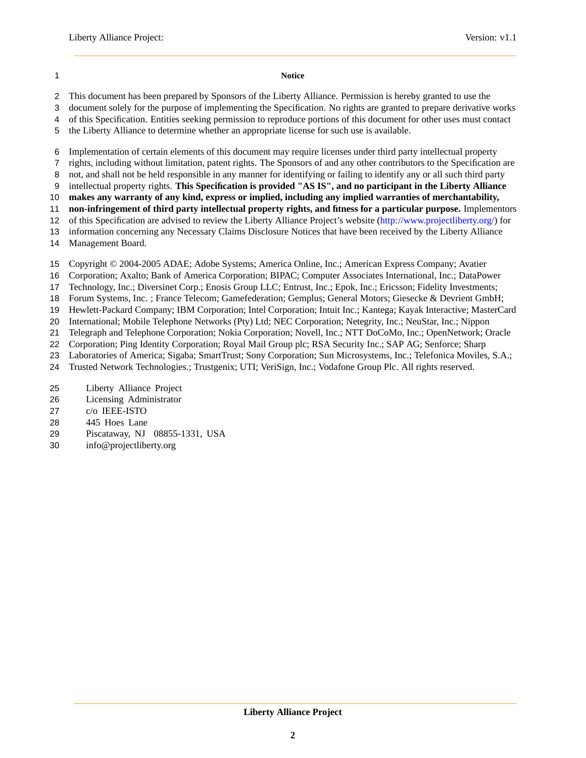#### **Notice**

- This document has been prepared by Sponsors of the Liberty Alliance. Permission is hereby granted to use the
- document solely for the purpose of implementing the Specification. No rights are granted to prepare derivative works
- of this Specification. Entities seeking permission to reproduce portions of this document for other uses must contact
- the Liberty Alliance to determine whether an appropriate license for such use is available.
- Implementation of certain elements of this document may require licenses under third party intellectual property
- rights, including without limitation, patent rights. The Sponsors of and any other contributors to the Specification are
- not, and shall not be held responsible in any manner for identifying or failing to identify any or all such third party
- intellectual property rights. **This Specification is provided "AS IS", and no participant in the Liberty Alliance**
- **makes any warranty of any kind, express or implied, including any implied warranties of merchantability,**
- **non-infringement of third party intellectual property rights, and fitness for a particular purpose.** Implementors
- of this Specification are advised to review the Liberty Alliance Project's website [\(http://www.projectliberty.org/\)](http://www.projectliberty.org/) for information concerning any Necessary Claims Disclosure Notices that have been received by the Liberty Alliance
- Management Board.
- Copyright © 2004-2005 ADAE; Adobe Systems; America Online, Inc.; American Express Company; Avatier
- Corporation; Axalto; Bank of America Corporation; BIPAC; Computer Associates International, Inc.; DataPower
- Technology, Inc.; Diversinet Corp.; Enosis Group LLC; Entrust, Inc.; Epok, Inc.; Ericsson; Fidelity Investments;
- Forum Systems, Inc. ; France Telecom; Gamefederation; Gemplus; General Motors; Giesecke & Devrient GmbH;
- Hewlett-Packard Company; IBM Corporation; Intel Corporation; Intuit Inc.; Kantega; Kayak Interactive; MasterCard
- International; Mobile Telephone Networks (Pty) Ltd; NEC Corporation; Netegrity, Inc.; NeuStar, Inc.; Nippon
- Telegraph and Telephone Corporation; Nokia Corporation; Novell, Inc.; NTT DoCoMo, Inc.; OpenNetwork; Oracle
- Corporation; Ping Identity Corporation; Royal Mail Group plc; RSA Security Inc.; SAP AG; Senforce; Sharp
- Laboratories of America; Sigaba; SmartTrust; Sony Corporation; Sun Microsystems, Inc.; Telefonica Moviles, S.A.;
- Trusted Network Technologies.; Trustgenix; UTI; VeriSign, Inc.; Vodafone Group Plc. All rights reserved.
- Liberty Alliance Project
- Licensing Administrator
- c/o IEEE-ISTO
- 445 Hoes Lane
- Piscataway, NJ 08855-1331, USA
- info@projectliberty.org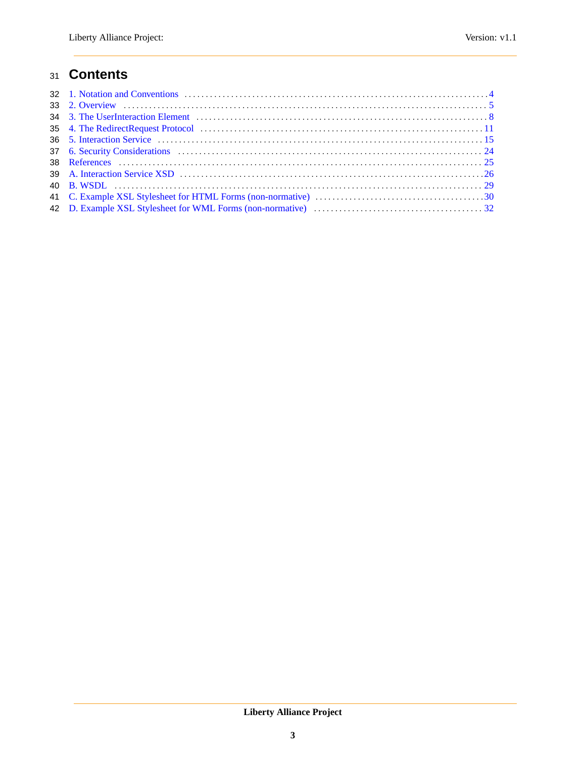## **Contents**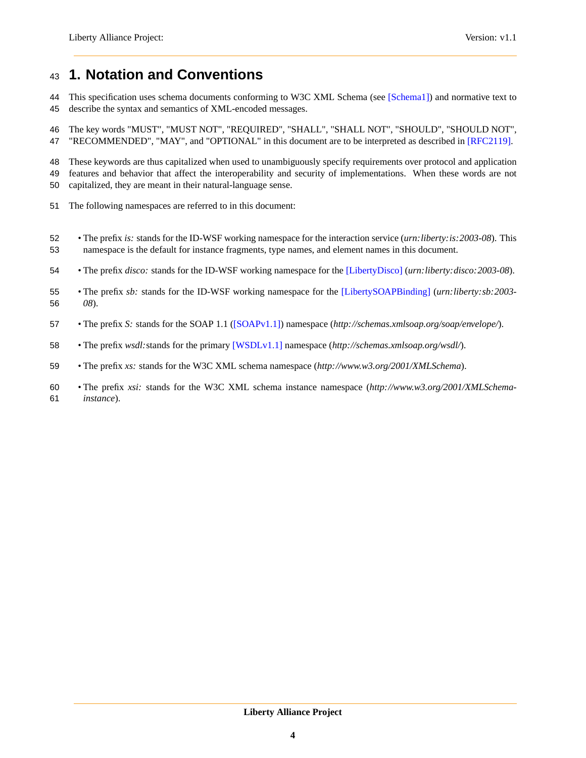## <span id="page-3-0"></span>**1. Notation and Conventions**

44 This specification uses schema documents conforming to W3C XML Schema (see [\[Schema1\]\)](#page-24-1) and normative text to describe the syntax and semantics of XML-encoded messages.

 The key words "MUST", "MUST NOT", "REQUIRED", "SHALL", "SHALL NOT", "SHOULD", "SHOULD NOT", "RECOMMENDED", "MAY", and "OPTIONAL" in this document are to be interpreted as described in [\[RFC2119\].](#page-24-2)

These keywords are thus capitalized when used to unambiguously specify requirements over protocol and application

features and behavior that affect the interoperability and security of implementations. When these words are not

- capitalized, they are meant in their natural-language sense.
- The following namespaces are referred to in this document:
- The prefix *is:* stands for the ID-WSF working namespace for the interaction service (*urn:liberty:is:2003-08*). This namespace is the default for instance fragments, type names, and element names in this document.
- The prefix *disco:* stands for the ID-WSF working namespace for the [\[LibertyDisco\]](#page-24-3) (*urn:liberty:disco:2003-08*).
- The prefix *sb:* stands for the ID-WSF working namespace for the [\[LibertySOAPBinding\]](#page-24-4) (*urn:liberty:sb:2003- 08*).
- The prefix *S:* stands for the SOAP 1.1 [\(\[SOAPv1.1\]\)](#page-24-5) namespace (*http://schemas.xmlsoap.org/soap/envelope/*).
- The prefix *wsdl:*stands for the primary [\[WSDLv1.1\]](#page-24-6) namespace (*http://schemas.xmlsoap.org/wsdl/*).
- The prefix *xs:* stands for the W3C XML schema namespace (*http://www.w3.org/2001/XMLSchema*).
- The prefix *xsi:* stands for the W3C XML schema instance namespace (*http://www.w3.org/2001/XMLSchema-instance*).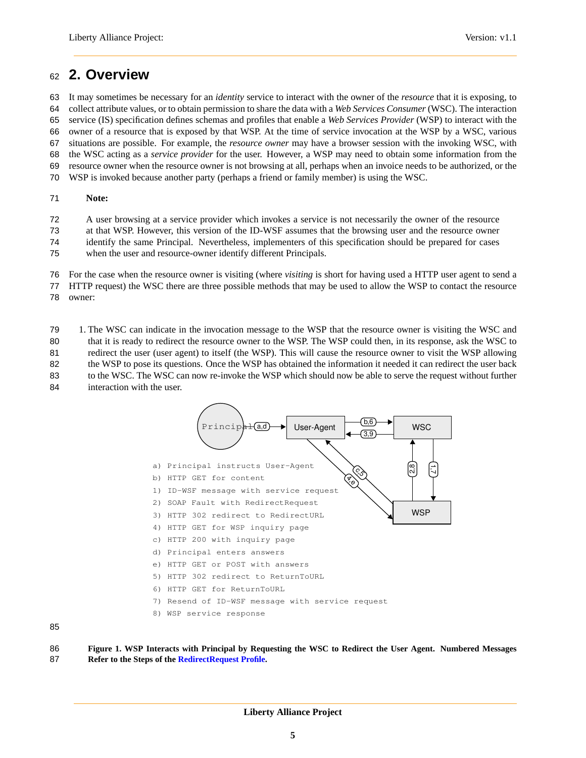## <span id="page-4-0"></span><sup>62</sup> **2. Overview**

 It may sometimes be necessary for an *identity* service to interact with the owner of the *resource* that it is exposing, to collect attribute values, or to obtain permission to share the data with a *Web Services Consumer* (WSC). The interaction service (IS) specification defines schemas and profiles that enable a *Web Services Provider* (WSP) to interact with the owner of a resource that is exposed by that WSP. At the time of service invocation at the WSP by a WSC, various situations are possible. For example, the *resource owner* may have a browser session with the invoking WSC, with the WSC acting as a *service provider* for the user. However, a WSP may need to obtain some information from the resource owner when the resource owner is not browsing at all, perhaps when an invoice needs to be authorized, or the WSP is invoked because another party (perhaps a friend or family member) is using the WSC.

#### 71 **Note:**

72 A user browsing at a service provider which invokes a service is not necessarily the owner of the resource

73 at that WSP. However, this version of the ID-WSF assumes that the browsing user and the resource owner

74 identify the same Principal. Nevertheless, implementers of this specification should be prepared for cases

75 when the user and resource-owner identify different Principals.

76 For the case when the resource owner is visiting (where *visiting* is short for having used a HTTP user agent to send a

77 HTTP request) the WSC there are three possible methods that may be used to allow the WSP to contact the resource

78 owner:

<span id="page-4-1"></span>79 1. The WSC can indicate in the invocation message to the WSP that the resource owner is visiting the WSC and 80 that it is ready to redirect the resource owner to the WSP. The WSP could then, in its response, ask the WSC to 81 redirect the user (user agent) to itself (the WSP). This will cause the resource owner to visit the WSP allowing 82 the WSP to pose its questions. Once the WSP has obtained the information it needed it can redirect the user back 83 to the WSC. The WSC can now re-invoke the WSP which should now be able to serve the request without further 84 interaction with the user.



85

86 **Figure 1. WSP Interacts with Principal by Requesting the WSC to Redirect the User Agent. Numbered Messages** 87 **Refer to the Steps of the [RedirectRequest Profile.](#page-10-0)**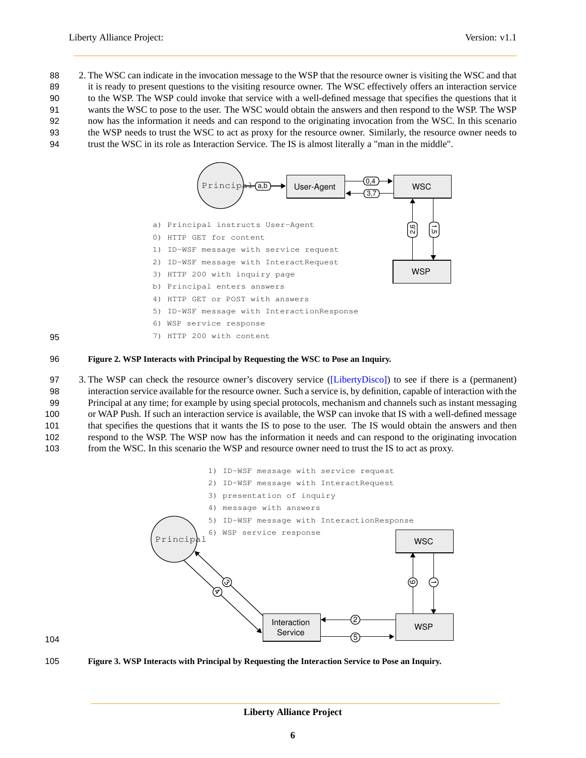2. The WSC can indicate in the invocation message to the WSP that the resource owner is visiting the WSC and that 89 it is ready to present questions to the visiting resource owner. The WSC effectively offers an interaction service to the WSP. The WSP could invoke that service with a well-defined message that specifies the questions that it wants the WSC to pose to the user. The WSC would obtain the answers and then respond to the WSP. The WSP now has the information it needs and can respond to the originating invocation from the WSC. In this scenario the WSP needs to trust the WSC to act as proxy for the resource owner. Similarly, the resource owner needs to trust the WSC in its role as Interaction Service. The IS is almost literally a "man in the middle".



95

#### 96 **Figure 2. WSP Interacts with Principal by Requesting the WSC to Pose an Inquiry.**

 3. The WSP can check the resource owner's discovery service [\(\[LibertyDisco\]\)](#page-24-3) to see if there is a (permanent) interaction service available for the resource owner. Such a service is, by definition, capable of interaction with the Principal at any time; for example by using special protocols, mechanism and channels such as instant messaging or WAP Push. If such an interaction service is available, the WSP can invoke that IS with a well-defined message that specifies the questions that it wants the IS to pose to the user. The IS would obtain the answers and then respond to the WSP. The WSP now has the information it needs and can respond to the originating invocation from the WSC. In this scenario the WSP and resource owner need to trust the IS to act as proxy.



104

105 **Figure 3. WSP Interacts with Principal by Requesting the Interaction Service to Pose an Inquiry.**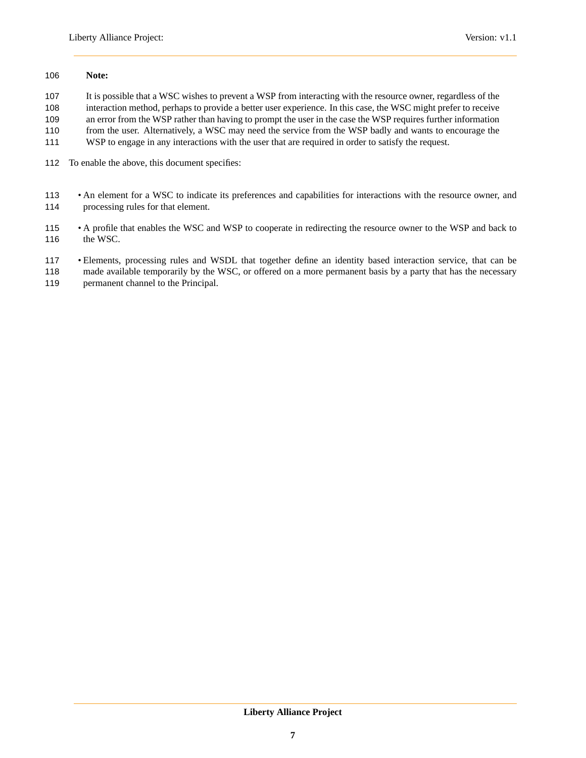#### **Note:**

It is possible that a WSC wishes to prevent a WSP from interacting with the resource owner, regardless of the

 interaction method, perhaps to provide a better user experience. In this case, the WSC might prefer to receive an error from the WSP rather than having to prompt the user in the case the WSP requires further information

from the user. Alternatively, a WSC may need the service from the WSP badly and wants to encourage the

- WSP to engage in any interactions with the user that are required in order to satisfy the request.
- To enable the above, this document specifies:
- An element for a WSC to indicate its preferences and capabilities for interactions with the resource owner, and processing rules for that element.
- A profile that enables the WSC and WSP to cooperate in redirecting the resource owner to the WSP and back to 116 the WSC.
- Elements, processing rules and WSDL that together define an identity based interaction service, that can be
- made available temporarily by the WSC, or offered on a more permanent basis by a party that has the necessary permanent channel to the Principal.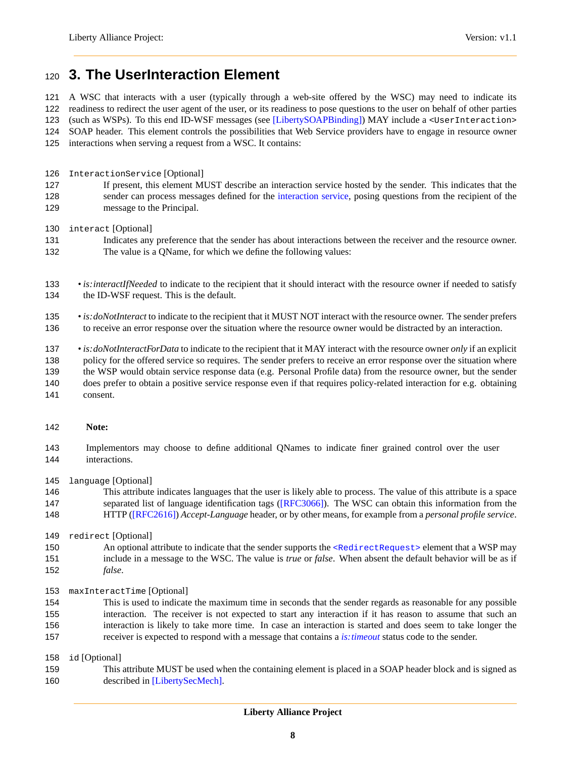## <span id="page-7-0"></span>**3. The UserInteraction Element**

A WSC that interacts with a user (typically through a web-site offered by the WSC) may need to indicate its

readiness to redirect the user agent of the user, or its readiness to pose questions to the user on behalf of other parties

(such as WSPs). To this end ID-WSF messages (see [\[LibertySOAPBinding\]\)](#page-24-4) MAY include a <UserInteraction>

SOAP header. This element controls the possibilities that Web Service providers have to engage in resource owner

- interactions when serving a request from a WSC. It contains:
- InteractionService [Optional]
- If present, this element MUST describe an interaction service hosted by the sender. This indicates that the sender can process messages defined for the [interaction service,](#page-14-0) posing questions from the recipient of the message to the Principal.
- interact [Optional]
- Indicates any preference that the sender has about interactions between the receiver and the resource owner. The value is a QName, for which we define the following values:
- *is:interactIfNeeded* to indicate to the recipient that it should interact with the resource owner if needed to satisfy 134 the ID-WSF request. This is the default.
- *is:doNotInteract* to indicate to the recipient that it MUST NOT interact with the resource owner. The sender prefers to receive an error response over the situation where the resource owner would be distracted by an interaction.
- *is:doNotInteractForData* to indicate to the recipient that it MAY interact with the resource owner *only* if an explicit policy for the offered service so requires. The sender prefers to receive an error response over the situation where the WSP would obtain service response data (e.g. Personal Profile data) from the resource owner, but the sender does prefer to obtain a positive service response even if that requires policy-related interaction for e.g. obtaining consent.
- **Note:**
- Implementors may choose to define additional QNames to indicate finer grained control over the user interactions.
- language [Optional]
- This attribute indicates languages that the user is likely able to process. The value of this attribute is a space separated list of language identification tags [\(\[RFC3066\]\)](#page-24-7). The WSC can obtain this information from the HTTP [\(\[RFC2616\]\)](#page-24-8) *Accept-Language* header, or by other means, for example from a *personal profile service*.
- redirect [Optional]
- 150 An optional attribute to indicate that the sender supports the [<RedirectRequest>](#page-10-1) element that a WSP may include in a message to the WSC. The value is *true* or *false*. When absent the default behavior will be as if *false*.
- maxInteractTime [Optional]
- This is used to indicate the maximum time in seconds that the sender regards as reasonable for any possible interaction. The receiver is not expected to start any interaction if it has reason to assume that such an interaction is likely to take more time. In case an interaction is started and does seem to take longer the receiver is expected to respond with a message that contains a *[is:timeout](#page-0-0)* status code to the sender.

id [Optional]

 This attribute MUST be used when the containing element is placed in a SOAP header block and is signed as described in [\[LibertySecMech\].](#page-24-9)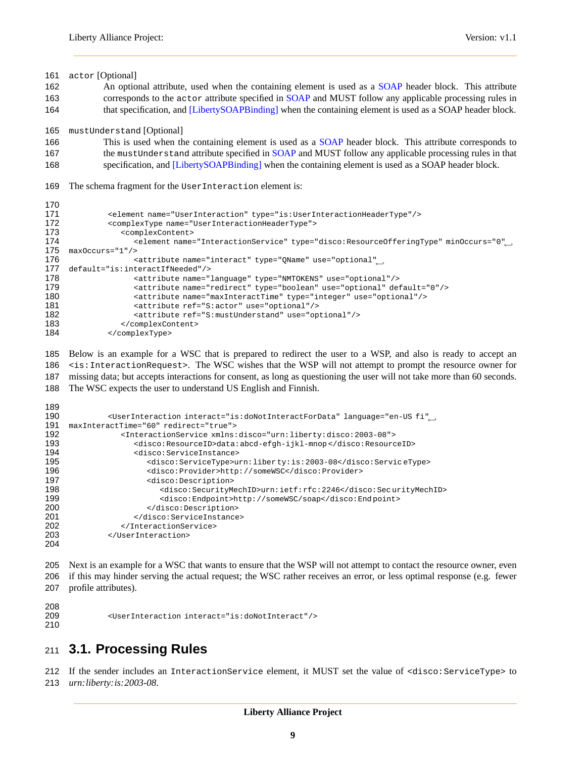actor [Optional] 162 An optional attribute, used when the containing element is used as a [SOAP](#page-24-5) header block. This attribute corresponds to the actor attribute specified in [SOAP](#page-24-5) and MUST follow any applicable processing rules in that specification, and [\[LibertySOAPBinding\]](#page-24-4) when the containing element is used as a SOAP header block. mustUnderstand [Optional] This is used when the containing element is used as a [SOAP](#page-24-5) header block. This attribute corresponds to 167 the mustUnderstand attribute specified in [SOAP](#page-24-5) and MUST follow any applicable processing rules in that specification, and [\[LibertySOAPBinding\]](#page-24-4) when the containing element is used as a SOAP header block. The schema fragment for the UserInteraction element is: <element name="UserInteraction" type="is:UserInteractionHeaderType"/> <complexType name="UserInteractionHeaderType"> <complexContent> <element name="InteractionService" type="disco:ResourceOfferingType" minOccurs="0", maxOccurs="1"/> <attribute name="interact" type="QName" use="optional"←- default="is:interactIfNeeded"/> <attribute name="language" type="NMTOKENS" use="optional"/> <attribute name="redirect" type="boolean" use="optional" default="0"/> <attribute name="maxInteractTime" type="integer" use="optional"/> 181 <attribute ref="S:actor" use="optional"/><br>182 <attribute ref="S:mustUnderstand" use="op <attribute ref="S:mustUnderstand" use="optional"/> </complexContent> </complexType>

 Below is an example for a WSC that is prepared to redirect the user to a WSP, and also is ready to accept an <is:InteractionRequest>. The WSC wishes that the WSP will not attempt to prompt the resource owner for missing data; but accepts interactions for consent, as long as questioning the user will not take more than 60 seconds.

The WSC expects the user to understand US English and Finnish.

| 190 | <userinteraction ,<="" interact="is:doNotInteractForData" language="en-US fi" th=""></userinteraction> |
|-----|--------------------------------------------------------------------------------------------------------|
| 191 | maxInteractTime="60" redirect="true">                                                                  |
| 192 | <interactionservice xmlns:disco="urn:liberty:disco:2003-08"></interactionservice>                      |
| 193 | <disco:resourceid>data:abcd-efqh-ijkl-mnop</disco:resourceid>                                          |
| 194 | <disco:serviceinstance></disco:serviceinstance>                                                        |
| 195 | <disco:servicetype>urn:liberty:is:2003-08</disco:servicetype>                                          |
| 196 | <disco: provider="">http://someWSC</disco:>                                                            |
| 197 | <disco: description=""></disco:>                                                                       |
| 198 | <disco:securitymechid>urn:ietf:rfc:2246</disco:securitymechid>                                         |
| 199 | <disco:endpoint>http://someWSC/soap</disco:endpoint>                                                   |
| 200 |                                                                                                        |
| 201 |                                                                                                        |
| 202 |                                                                                                        |
| 203 |                                                                                                        |
| 204 |                                                                                                        |

 Next is an example for a WSC that wants to ensure that the WSP will not attempt to contact the resource owner, even if this may hinder serving the actual request; the WSC rather receives an error, or less optimal response (e.g. fewer profile attributes).

 <UserInteraction interact="is:doNotInteract"/> 

## **3.1. Processing Rules**

 If the sender includes an InteractionService element, it MUST set the value of <disco:ServiceType> to *urn:liberty:is:2003-08*.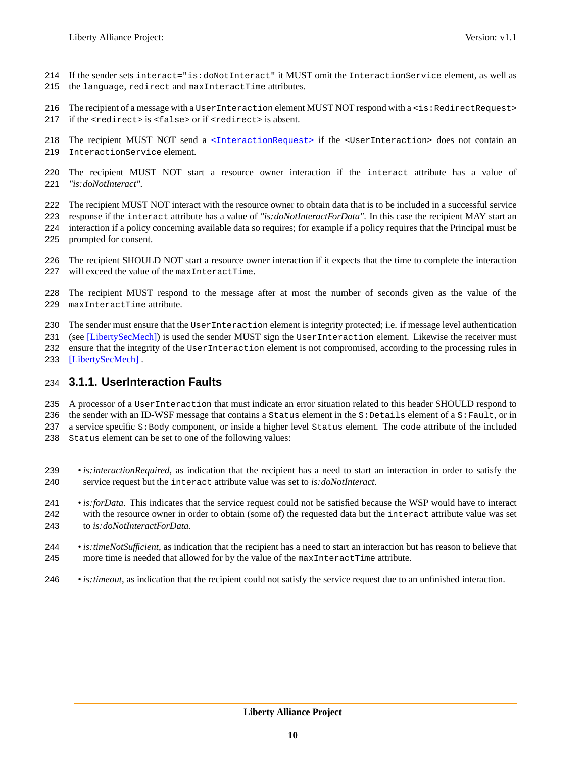- If the sender sets interact="is:doNotInteract" it MUST omit the InteractionService element, as well as 215 the language, redirect and maxInteractTime attributes.
- 216 The recipient of a message with a User Interaction element MUST NOT respond with a <is: RedirectRequest>
- 217 if the  $\epsilon$  redirect  $>$  is  $\epsilon$  false  $>$  or if  $\epsilon$  redirect  $>$  is absent.
- 218 The recipient MUST NOT send a [<InteractionRequest>](#page-14-1) if the <UserInteraction> does not contain an InteractionService element.
- The recipient MUST NOT start a resource owner interaction if the interact attribute has a value of *"is:doNotInteract"*.
- The recipient MUST NOT interact with the resource owner to obtain data that is to be included in a successful service
- response if the interact attribute has a value of *"is:doNotInteractForData"*. In this case the recipient MAY start an interaction if a policy concerning available data so requires; for example if a policy requires that the Principal must be
- prompted for consent.
- The recipient SHOULD NOT start a resource owner interaction if it expects that the time to complete the interaction will exceed the value of the maxInteractTime.
- The recipient MUST respond to the message after at most the number of seconds given as the value of the maxInteractTime attribute.
- The sender must ensure that the UserInteraction element is integrity protected; i.e. if message level authentication
- 231 (see [\[LibertySecMech\]\)](#page-24-9) is used the sender MUST sign the UserInteraction element. Likewise the receiver must
- ensure that the integrity of the UserInteraction element is not compromised, according to the processing rules in
- [\[LibertySecMech\]](#page-24-9) .

### **3.1.1. UserInteraction Faults**

- A processor of a UserInteraction that must indicate an error situation related to this header SHOULD respond to
- 236 the sender with an ID-WSF message that contains a Status element in the S: Details element of a S: Fault, or in
- a service specific S:Body component, or inside a higher level Status element. The code attribute of the included
- Status element can be set to one of the following values:
- *is:interactionRequired*, as indication that the recipient has a need to start an interaction in order to satisfy the service request but the interact attribute value was set to *is:doNotInteract*.
- *is:forData*. This indicates that the service request could not be satisfied because the WSP would have to interact with the resource owner in order to obtain (some of) the requested data but the interact attribute value was set to *is:doNotInteractForData*.
- *is:timeNotSufficient*, as indication that the recipient has a need to start an interaction but has reason to believe that 245 more time is needed that allowed for by the value of the maxInteractTime attribute.
- *is:timeout*, as indication that the recipient could not satisfy the service request due to an unfinished interaction.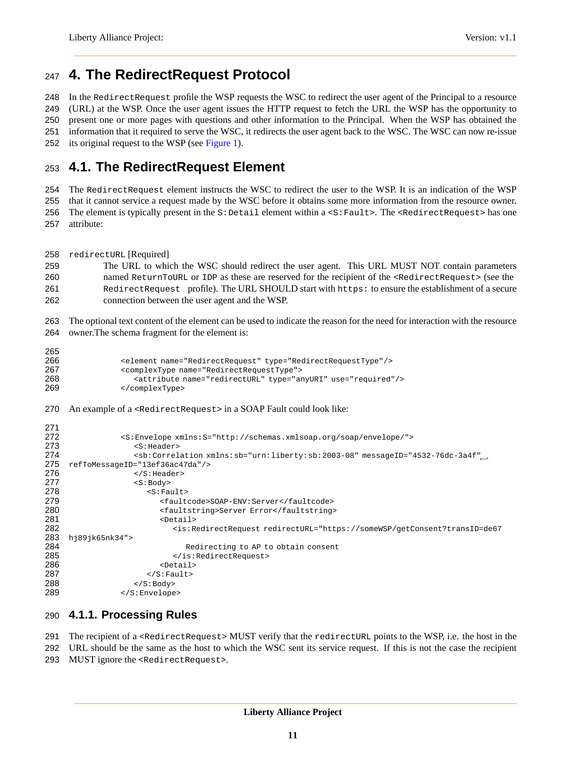## <span id="page-10-0"></span>**4. The RedirectRequest Protocol**

In the RedirectRequest profile the WSP requests the WSC to redirect the user agent of the Principal to a resource

 (URL) at the WSP. Once the user agent issues the HTTP request to fetch the URL the WSP has the opportunity to present one or more pages with questions and other information to the Principal. When the WSP has obtained the information that it required to serve the WSC, it redirects the user agent back to the WSC. The WSC can now re-issue

<span id="page-10-1"></span>252 its original request to the WSP (see [Figure 1\)](#page-4-1).

## **4.1. The RedirectRequest Element**

The RedirectRequest element instructs the WSC to redirect the user to the WSP. It is an indication of the WSP

 that it cannot service a request made by the WSC before it obtains some more information from the resource owner. 256 The element is typically present in the  $s$ : Detail element within a < $s$ : Fault>. The <RedirectRequest> has one

attribute:

redirectURL [Required]

 The URL to which the WSC should redirect the user agent. This URL MUST NOT contain parameters named ReturnToURL or IDP as these are reserved for the recipient of the <RedirectRequest> (see the [RedirectRequest](#page-11-0) profile). The URL SHOULD start with https: to ensure the establishment of a secure connection between the user agent and the WSP.

 The optional text content of the element can be used to indicate the reason for the need for interaction with the resource owner.The schema fragment for the element is:

| -   |                                                                         |
|-----|-------------------------------------------------------------------------|
| 266 | <element name="RedirectRequest" type="RedirectRequestType"></element>   |
| 267 | <complextype name="RedirectRequestType"></complextype>                  |
| 268 | <attribute name="redirectURL" type="anyURI" use="required"></attribute> |
| 269 |                                                                         |

270 An example of a <RedirectRequest> in a SOAP Fault could look like:

```
271
272 <S:Envelope xmlns:S="http://schemas.xmlsoap.org/soap/envelope/"><br>273 <S:Header>
                 273 <S:Header>
                 <sb:Correlation xmlns:sb="urn:liberty:sb:2003-08" messageID="4532-76dc-3a4f"←-
274
275 refToMessageID="13ef36ac47da"/>
276 </S:Header>
                 277 <S:Body>
278 <S:Fault>
279 <faultcode>SOAP-ENV:Server</faultcode>
280 <faultstring>Server Error</faultstring>
                      \epsilonDetail>
282 <is:RedirectRequest redirectURL="https://someWSP/getConsent?transID=de67
283 hj89jk65nk34">
284 Redirecting to AP to obtain consent<br>285 Series is:RedirectRequest>
                        285 </is:RedirectRequest>
286 <Detail>
287 </S:Fault>
288 \langle/S:Body><br>289 \langle/S:Envelope
              </S:Envelope>
```
### <span id="page-10-2"></span>**4.1.1. Processing Rules**

 The recipient of a <RedirectRequest> MUST verify that the redirectURL points to the WSP, i.e. the host in the URL should be the same as the host to which the WSC sent its service request. If this is not the case the recipient MUST ignore the <RedirectRequest>.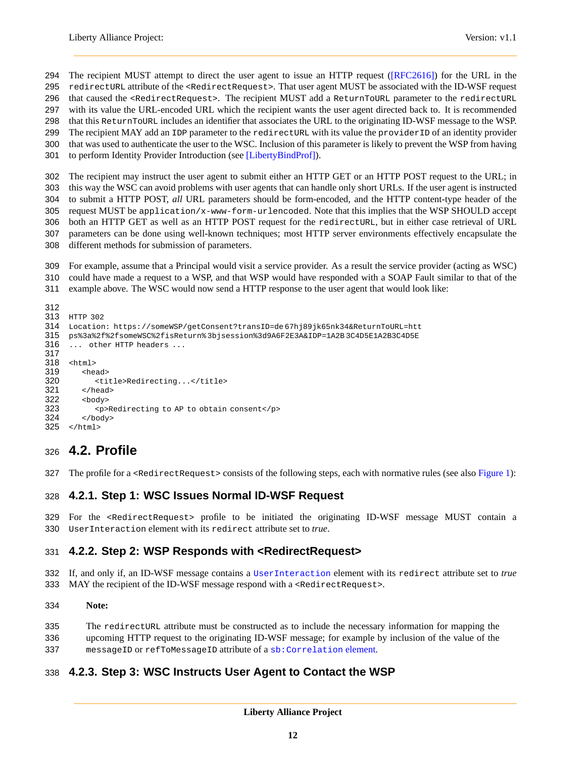294 The recipient MUST attempt to direct the user agent to issue an HTTP request [\(\[RFC2616\]\)](#page-24-8) for the URL in the 295 redirectURL attribute of the <RedirectRequest>. That user agent MUST be associated with the ID-WSF request

that caused the <RedirectRequest>. The recipient MUST add a ReturnToURL parameter to the redirectURL

 with its value the URL-encoded URL which the recipient wants the user agent directed back to. It is recommended that this ReturnToURL includes an identifier that associates the URL to the originating ID-WSF message to the WSP.

299 The recipient MAY add an IDP parameter to the redirectURL with its value the providerID of an identity provider

that was used to authenticate the user to the WSC. Inclusion of this parameter is likely to prevent the WSP from having

to perform Identity Provider Introduction (see [\[LibertyBindProf\]\)](#page-24-10).

The recipient may instruct the user agent to submit either an HTTP GET or an HTTP POST request to the URL; in

this way the WSC can avoid problems with user agents that can handle only short URLs. If the user agent is instructed

to submit a HTTP POST, *all* URL parameters should be form-encoded, and the HTTP content-type header of the

request MUST be application/x-www-form-urlencoded. Note that this implies that the WSP SHOULD accept

 both an HTTP GET as well as an HTTP POST request for the redirectURL, but in either case retrieval of URL parameters can be done using well-known techniques; most HTTP server environments effectively encapsulate the

different methods for submission of parameters.

For example, assume that a Principal would visit a service provider. As a result the service provider (acting as WSC)

could have made a request to a WSP, and that WSP would have responded with a SOAP Fault similar to that of the

example above. The WSC would now send a HTTP response to the user agent that would look like:

```
312
313 HTTP 302<br>314 Location
     314 Location: https://someWSP/getConsent?transID=de 67hj89jk65nk34&ReturnToURL=htt
315 ps%3a%2f%2fsomeWSC%2fisReturn% 3bjsession%3d9A6F2E3A&IDP=1A2B 3C4D5E1A2B3C4D5E
316 ... other HTTP headers ...
317
318 <html>
319 <head>
320 <title>Redirecting...</title>
321 </head><br>322 <body>
        <body>
323 <p>Redirecting to AP to obtain consent</p>
324 \times/body325 </html>
```
## **4.2. Profile**

327 The profile for a <RedirectRequest> consists of the following steps, each with normative rules (see also [Figure 1\)](#page-4-1):

### **4.2.1. Step 1: WSC Issues Normal ID-WSF Request**

329 For the <RedirectRequest> profile to be initiated the originating ID-WSF message MUST contain a UserInteraction element with its redirect attribute set to *true*.

### **4.2.2. Step 2: WSP Responds with <RedirectRequest>**

 If, and only if, an ID-WSF message contains a [UserInteraction](#page-7-0) element with its redirect attribute set to *true* 333 MAY the recipient of the ID-WSF message respond with a <RedirectRequest>.

#### **Note:**

 The redirectURL attribute must be constructed as to include the necessary information for mapping the upcoming HTTP request to the originating ID-WSF message; for example by inclusion of the value of the messageID or refToMessageID attribute of a [sb:Correlation](#page-24-4) element.

### <span id="page-11-0"></span>**4.2.3. Step 3: WSC Instructs User Agent to Contact the WSP**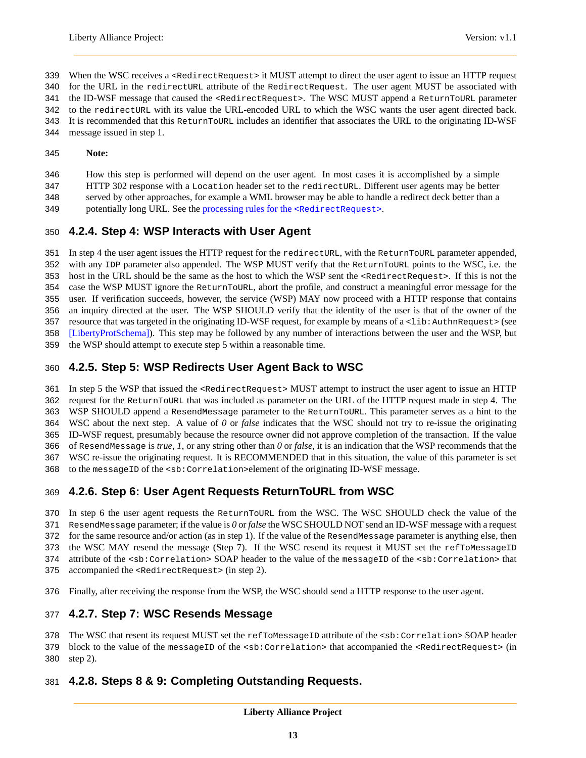- 339 When the WSC receives a <RedirectRequest> it MUST attempt to direct the user agent to issue an HTTP request
- for the URL in the redirectURL attribute of the RedirectRequest. The user agent MUST be associated with
- 341 the ID-WSF message that caused the <RedirectRequest>. The WSC MUST append a ReturnToURL parameter
- to the redirectURL with its value the URL-encoded URL to which the WSC wants the user agent directed back. It is recommended that this ReturnToURL includes an identifier that associates the URL to the originating ID-WSF
- message issued in step 1.
- **Note:**
- How this step is performed will depend on the user agent. In most cases it is accomplished by a simple
- HTTP 302 response with a Location header set to the redirectURL. Different user agents may be better
- served by other approaches, for example a WML browser may be able to handle a redirect deck better than a
- 349 potentially long URL. See the [processing rules for the](#page-10-2) <RedirectRequest>.

## **4.2.4. Step 4: WSP Interacts with User Agent**

 In step 4 the user agent issues the HTTP request for the redirectURL, with the ReturnToURL parameter appended, with any IDP parameter also appended. The WSP MUST verify that the ReturnToURL points to the WSC, i.e. the host in the URL should be the same as the host to which the WSP sent the <RedirectRequest>. If this is not the case the WSP MUST ignore the ReturnToURL, abort the profile, and construct a meaningful error message for the user. If verification succeeds, however, the service (WSP) MAY now proceed with a HTTP response that contains an inquiry directed at the user. The WSP SHOULD verify that the identity of the user is that of the owner of the resource that was targeted in the originating ID-WSF request, for example by means of a <lib:AuthnRequest> (see [\[LibertyProtSchema\]\)](#page-24-11). This step may be followed by any number of interactions between the user and the WSP, but the WSP should attempt to execute step 5 within a reasonable time.

## **4.2.5. Step 5: WSP Redirects User Agent Back to WSC**

 In step 5 the WSP that issued the <RedirectRequest> MUST attempt to instruct the user agent to issue an HTTP request for the ReturnToURL that was included as parameter on the URL of the HTTP request made in step 4. The WSP SHOULD append a ResendMessage parameter to the ReturnToURL. This parameter serves as a hint to the WSC about the next step. A value of *0* or *false* indicates that the WSC should not try to re-issue the originating ID-WSF request, presumably because the resource owner did not approve completion of the transaction. If the value of ResendMessage is *true*, *1*, or any string other than *0* or *false*, it is an indication that the WSP recommends that the WSC re-issue the originating request. It is RECOMMENDED that in this situation, the value of this parameter is set 368 to the messageID of the <sb: Correlation>element of the originating ID-WSF message.

## **4.2.6. Step 6: User Agent Requests ReturnToURL from WSC**

 In step 6 the user agent requests the ReturnToURL from the WSC. The WSC SHOULD check the value of the ResendMessage parameter; if the value is *0* or *false* the WSC SHOULD NOT send an ID-WSF message with a request for the same resource and/or action (as in step 1). If the value of the ResendMessage parameter is anything else, then 373 the WSC MAY resend the message (Step 7). If the WSC resend its request it MUST set the refToMessageID 374 attribute of the <sb:Correlation> SOAP header to the value of the messageID of the <sb:Correlation> that accompanied the <RedirectRequest> (in step 2).

Finally, after receiving the response from the WSP, the WSC should send a HTTP response to the user agent.

## **4.2.7. Step 7: WSC Resends Message**

 The WSC that resent its request MUST set the refToMessageID attribute of the <sb:Correlation> SOAP header block to the value of the messageID of the <sb:Correlation> that accompanied the <RedirectRequest> (in

step 2).

## **4.2.8. Steps 8 & 9: Completing Outstanding Requests.**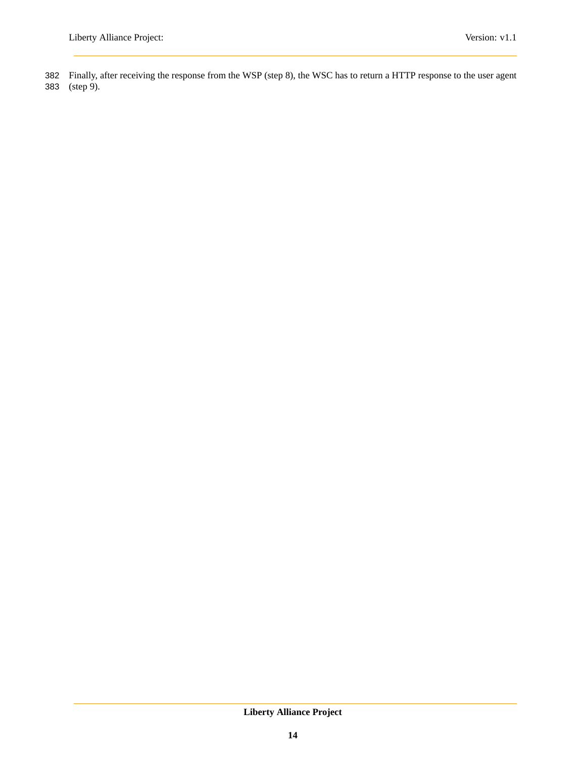382 Finally, after receiving the response from the WSP (step 8), the WSC has to return a HTTP response to the user agent 383 (step 9).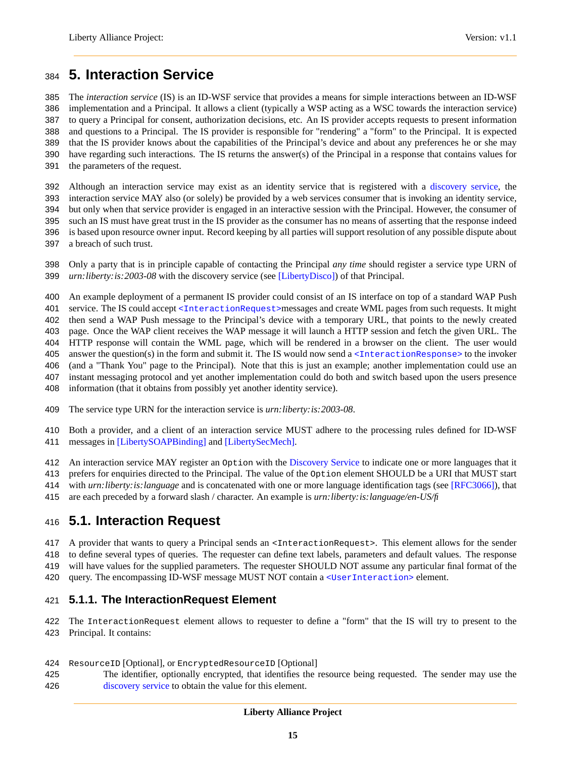## <span id="page-14-0"></span>**5. Interaction Service**

 The *interaction service* (IS) is an ID-WSF service that provides a means for simple interactions between an ID-WSF implementation and a Principal. It allows a client (typically a WSP acting as a WSC towards the interaction service) to query a Principal for consent, authorization decisions, etc. An IS provider accepts requests to present information and questions to a Principal. The IS provider is responsible for "rendering" a "form" to the Principal. It is expected that the IS provider knows about the capabilities of the Principal's device and about any preferences he or she may have regarding such interactions. The IS returns the answer(s) of the Principal in a response that contains values for the parameters of the request.

 Although an interaction service may exist as an identity service that is registered with a [discovery service,](#page-24-3) the interaction service MAY also (or solely) be provided by a web services consumer that is invoking an identity service, but only when that service provider is engaged in an interactive session with the Principal. However, the consumer of such an IS must have great trust in the IS provider as the consumer has no means of asserting that the response indeed is based upon resource owner input. Record keeping by all parties will support resolution of any possible dispute about a breach of such trust.

 Only a party that is in principle capable of contacting the Principal *any time* should register a service type URN of *urn:liberty:is:2003-08* with the discovery service (see [\[LibertyDisco\]\)](#page-24-3) of that Principal.

An example deployment of a permanent IS provider could consist of an IS interface on top of a standard WAP Push

401 service. The IS could accept [<InteractionRequest>](#page-14-1)messages and create WML pages from such requests. It might

then send a WAP Push message to the Principal's device with a temporary URL, that points to the newly created

403 page. Once the WAP client receives the WAP message it will launch a HTTP session and fetch the given URL. The HTTP response will contain the WML page, which will be rendered in a browser on the client. The user would

answer the question(s) in the form and submit it. The IS would now send a [<InteractionResponse>](#page-19-0) to the invoker

(and a "Thank You" page to the Principal). Note that this is just an example; another implementation could use an

instant messaging protocol and yet another implementation could do both and switch based upon the users presence

information (that it obtains from possibly yet another identity service).

The service type URN for the interaction service is *urn:liberty:is:2003-08*.

 Both a provider, and a client of an interaction service MUST adhere to the processing rules defined for ID-WSF messages in [\[LibertySOAPBinding\]](#page-24-4) and [\[LibertySecMech\].](#page-24-9)

An interaction service MAY register an Option with the [Discovery Service](#page-24-3) to indicate one or more languages that it

prefers for enquiries directed to the Principal. The value of the Option element SHOULD be a URI that MUST start

with *urn:liberty:is:language* and is concatenated with one or more language identification tags (see [\[RFC3066\]\)](#page-24-7), that

<span id="page-14-1"></span>are each preceded by a forward slash / character. An example is *urn:liberty:is:language/en-US/fi*

## **5.1. Interaction Request**

A provider that wants to query a Principal sends an <InteractionRequest>. This element allows for the sender

 to define several types of queries. The requester can define text labels, parameters and default values. The response will have values for the supplied parameters. The requester SHOULD NOT assume any particular final format of the

420 query. The encompassing ID-WSF message MUST NOT contain a [<UserInteraction>](#page-7-0) element.

### **5.1.1. The InteractionRequest Element**

 The InteractionRequest element allows to requester to define a "form" that the IS will try to present to the Principal. It contains:

- ResourceID [Optional], or EncryptedResourceID [Optional]
- The identifier, optionally encrypted, that identifies the resource being requested. The sender may use the [discovery service](#page-24-3) to obtain the value for this element.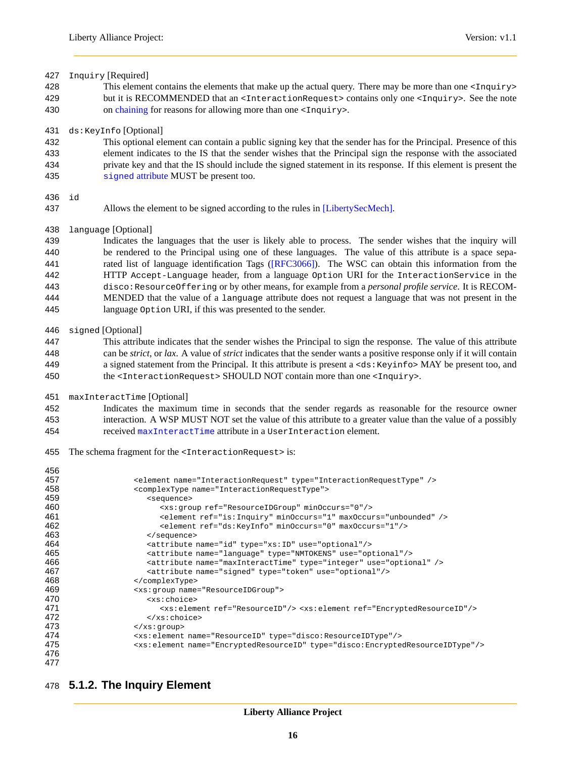Inquiry [Required] This element contains the elements that make up the actual query. There may be more than one <Inquiry> but it is RECOMMENDED that an <InteractionRequest> contains only one <Inquiry>. See the note 430 on [chaining](#page-22-0) for reasons for allowing more than one <Inquiry>. ds:KeyInfo [Optional]

 This optional element can contain a public signing key that the sender has for the Principal. Presence of this element indicates to the IS that the sender wishes that the Principal sign the response with the associated private key and that the IS should include the signed statement in its response. If this element is present the 435 signed [attribute](#page-0-0) MUST be present too.

#### id

Allows the element to be signed according to the rules in [\[LibertySecMech\].](#page-24-9)

#### language [Optional]

 Indicates the languages that the user is likely able to process. The sender wishes that the inquiry will be rendered to the Principal using one of these languages. The value of this attribute is a space sepa-441 rated list of language identification Tags [\(\[RFC3066\]\)](#page-24-7). The WSC can obtain this information from the HTTP Accept-Language header, from a language Option URI for the InteractionService in the disco:ResourceOffering or by other means, for example from a *personal profile service*. It is RECOM- MENDED that the value of a language attribute does not request a language that was not present in the language Option URI, if this was presented to the sender.

#### signed [Optional]

- This attribute indicates that the sender wishes the Principal to sign the response. The value of this attribute can be *strict*, or *lax*. A value of *strict* indicates that the sender wants a positive response only if it will contain 449 a signed statement from the Principal. It this attribute is present a <ds: Keyinfo> MAY be present too, and 450 the <InteractionRequest> SHOULD NOT contain more than one <Inquiry>.
- maxInteractTime [Optional]
- Indicates the maximum time in seconds that the sender regards as reasonable for the resource owner interaction. A WSP MUST NOT set the value of this attribute to a greater value than the value of a possibly received [maxInteractTime](#page-0-0) attribute in a UserInteraction element.
- The schema fragment for the <InteractionRequest> is:

| 456 |                                                                                                |
|-----|------------------------------------------------------------------------------------------------|
| 457 | <element name="InteractionRequest" type="InteractionRequestType"></element>                    |
| 458 | <complextype name="InteractionRequestType"></complextype>                                      |
| 459 | <sequence></sequence>                                                                          |
| 460 | <xs: minoccurs="0" qroup="" ref="ResourceIDGroup"></xs:>                                       |
| 461 | <element maxoccurs="unbounded" minoccurs="1" ref="is:Inquiry"></element>                       |
| 462 | <element maxoccurs="1" minoccurs="0" ref="ds:KeyInfo"></element>                               |
| 463 |                                                                                                |
| 464 | <attribute name="id" type="xs: ID" use="optional"></attribute>                                 |
| 465 | <attribute name="lanquaqe" type="NMTOKENS" use="optional"></attribute>                         |
| 466 | <attribute name="maxInteractTime" type="integer" use="optional"></attribute>                   |
| 467 | <attribute name="signed" type="token" use="optional"></attribute>                              |
| 468 |                                                                                                |
| 469 | <xs: name="ResourceIDGroup" qroup=""></xs:>                                                    |
| 470 | <xs:choice></xs:choice>                                                                        |
| 471 | <xs:element ref="ResourceID"></xs:element> <xs:element ref="EncryptedResourceID"></xs:element> |
| 472 | $\langle xs:choice\rangle$                                                                     |
| 473 | $\langle xs:$ aroup>                                                                           |
| 474 | <xs:element name="ResourceID" type="disco:ResourceIDType"></xs:element>                        |
| 475 | <xs:element name="EncryptedResourceID" type="disco:EncryptedResourceIDType"></xs:element>      |
| 476 |                                                                                                |
| 477 |                                                                                                |

### <span id="page-15-0"></span>**5.1.2. The Inquiry Element**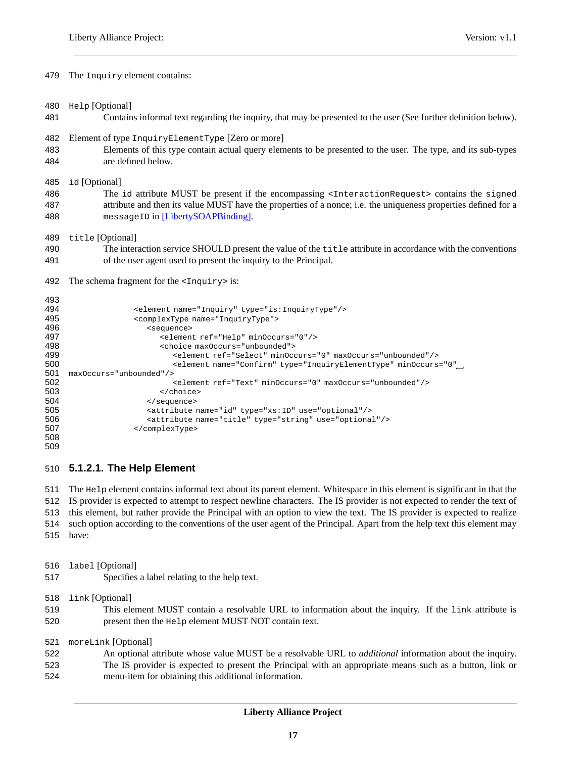The Inquiry element contains:

Help [Optional]

- Contains informal text regarding the inquiry, that may be presented to the user (See further definition below).
- Element of type InquiryElementType [Zero or more]
- Elements of this type contain actual query elements to be presented to the user. The type, and its sub-types are defined below.

id [Optional]

| 486 | The id attribute MUST be present if the encompassing <interactionrequest> contains the signed</interactionrequest> |
|-----|--------------------------------------------------------------------------------------------------------------------|
| 487 | attribute and then its value MUST have the properties of a nonce; i.e. the uniqueness properties defined for a     |
| 488 | messageID in [LibertySOAPBinding].                                                                                 |

title [Optional]

 The interaction service SHOULD present the value of the title attribute in accordance with the conventions of the user agent used to present the inquiry to the Principal.

492 The schema fragment for the <Inquiry> is:

```
493<br>494
494 <element name="Inquiry" type="is:InquiryType"/><br>495 <complexType name="InquiryType">
495 <complexType name="InquiryType"><br>496 <complexType >
496 <sequence>
497 <element ref="Help" minOccurs="0"/>
                      <choice maxOccurs="unbounded">
499 <element ref="Select" minOccurs="0" maxOccurs="unbounded"/>
                        <element name="Confirm" type="InquiryElementType" minOccurs="0"←-
500
501 maxOccurs="unbounded"/>
502 <element ref="Text" minOccurs="0" maxOccurs="unbounded"/>
503 </choice>
504 </sequence><br>505 <attribute
                   505 <attribute name="id" type="xs:ID" use="optional"/>
506 <attribute name="title" type="string" use="optional"/>
507 </complexType>
508
509
```
#### **5.1.2.1. The Help Element**

 The Help element contains informal text about its parent element. Whitespace in this element is significant in that the IS provider is expected to attempt to respect newline characters. The IS provider is not expected to render the text of this element, but rather provide the Principal with an option to view the text. The IS provider is expected to realize such option according to the conventions of the user agent of the Principal. Apart from the help text this element may have:

label [Optional]

Specifies a label relating to the help text.

link [Optional]

 This element MUST contain a resolvable URL to information about the inquiry. If the link attribute is present then the Help element MUST NOT contain text.

moreLink [Optional]

 An optional attribute whose value MUST be a resolvable URL to *additional* information about the inquiry. The IS provider is expected to present the Principal with an appropriate means such as a button, link or menu-item for obtaining this additional information.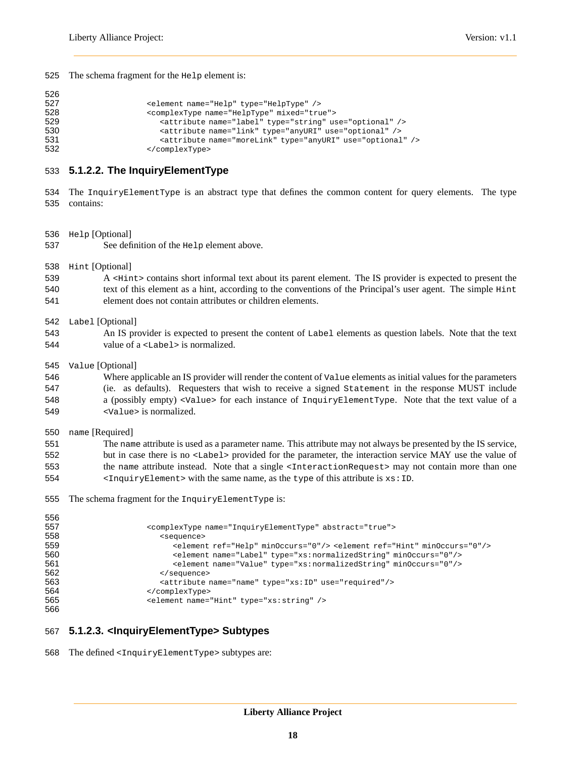The schema fragment for the Help element is:

```
526
527 <element name="Help" type="HelpType" />
528 <complexType name="HelpType" mixed="true"><br>529 <attribute name="label" type="string" us
529 <attribute name="label" type="string" use="optional" />
                         530 <attribute name="link" type="anyURI" use="optional" />
531 <attribute name="moreLink" type="anyURI" use="optional" /><br>532 </complexType>
                      532 </complexType>
```
#### **5.1.2.2. The InquiryElementType**

- The InquiryElementType is an abstract type that defines the common content for query elements. The type contains:
- Help [Optional] See definition of the Help element above.
- Hint [Optional]
- A <Hint> contains short informal text about its parent element. The IS provider is expected to present the text of this element as a hint, according to the conventions of the Principal's user agent. The simple Hint element does not contain attributes or children elements.
- Label [Optional]
- An IS provider is expected to present the content of Label elements as question labels. Note that the text value of a <Label> is normalized.
- Value [Optional]

 Where applicable an IS provider will render the content of Value elements as initial values for the parameters (ie. as defaults). Requesters that wish to receive a signed Statement in the response MUST include a (possibly empty) <Value> for each instance of InquiryElementType. Note that the text value of a <Value> is normalized.

name [Required]

| 551 | The name attribute is used as a parameter name. This attribute may not always be presented by the IS service,          |
|-----|------------------------------------------------------------------------------------------------------------------------|
| 552 | but in case there is no <label> provided for the parameter, the interaction service MAY use the value of</label>       |
| 553 | the name attribute instead. Note that a single <interactionrequest> may not contain more than one</interactionrequest> |
| 554 | $\epsilon$ InquiryElement> with the same name, as the type of this attribute is $xs:ID$ .                              |

The schema fragment for the InquiryElementType is:

| ັບບບ |                                                                                           |
|------|-------------------------------------------------------------------------------------------|
| 557  | <complextype abstract="true" name="InquiryElementType"></complextype>                     |
| 558  | <sequence></sequence>                                                                     |
| 559  | <element minoccurs="0" ref="Help"></element> <element minoccurs="0" ref="Hint"></element> |
| 560  | <element minoccurs="0" name="Label" type="xs:normalizedString"></element>                 |
| 561  | <element minoccurs="0" name="Value" type="xs:normalizedString"></element>                 |
| 562  |                                                                                           |
| 563  | <attribute name="name" type="xs: ID" use="required"></attribute>                          |
| 564  |                                                                                           |
| 565  | <element name="Hint" type="xs:string"></element>                                          |
| 566  |                                                                                           |

#### **5.1.2.3. <InquiryElementType> Subtypes**

The defined <InquiryElementType> subtypes are: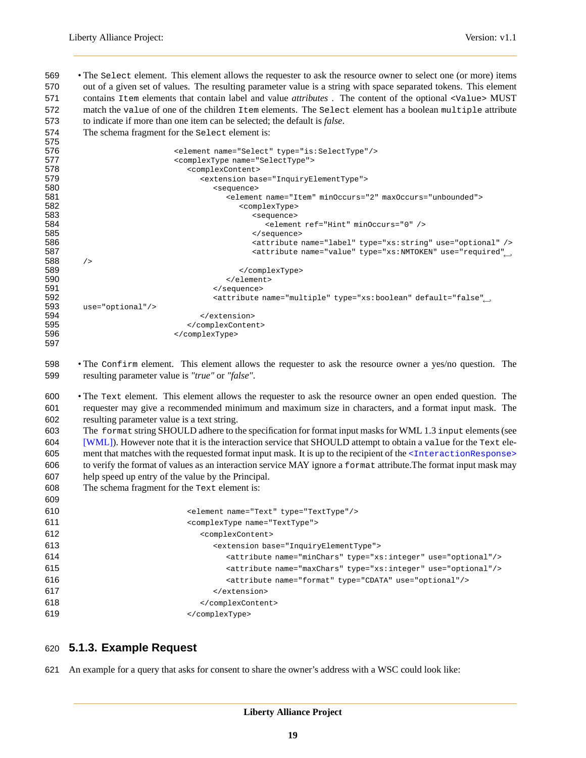• The Select element. This element allows the requester to ask the resource owner to select one (or more) items out of a given set of values. The resulting parameter value is a string with space separated tokens. This element contains Item elements that contain label and value *attributes* . The content of the optional <Value> MUST match the value of one of the children Item elements. The Select element has a boolean multiple attribute to indicate if more than one item can be selected; the default is *false*.

The schema fragment for the Select element is:

| 575 |                                                                                                |  |
|-----|------------------------------------------------------------------------------------------------|--|
| 576 | <element name="Select" type="is:SelectType"></element>                                         |  |
| 577 | <complextype name="SelectType"></complextype>                                                  |  |
| 578 | <complexcontent></complexcontent>                                                              |  |
| 579 | <extension base="InquiryElementType"></extension>                                              |  |
| 580 | <sequence></sequence>                                                                          |  |
| 581 | <element maxoccurs="unbounded" minoccurs="2" name="Item"></element>                            |  |
| 582 | <complextype></complextype>                                                                    |  |
| 583 | <sequence></sequence>                                                                          |  |
| 584 | <element minoccurs="0" ref="Hint"></element>                                                   |  |
| 585 | $\langle$ /sequence>                                                                           |  |
| 586 | <attribute name="label" type="xs:string" use="optional"></attribute>                           |  |
| 587 | <attribute ,<="" name="value" th="" type="xs:NMTOKEN" use="required"><th></th></attribute>     |  |
| 588 | /                                                                                              |  |
| 589 |                                                                                                |  |
| 590 |                                                                                                |  |
| 591 |                                                                                                |  |
| 592 | <attribute ,<="" default="false" name="multiple" th="" type="xs:boolean"><th></th></attribute> |  |
| 593 | $use="optional*/>$                                                                             |  |
| 594 |                                                                                                |  |
| 595 |                                                                                                |  |
| 596 |                                                                                                |  |
| 597 |                                                                                                |  |

 • The Confirm element. This element allows the requester to ask the resource owner a yes/no question. The resulting parameter value is *"true"* or *"false"*.

 • The Text element. This element allows the requester to ask the resource owner an open ended question. The requester may give a recommended minimum and maximum size in characters, and a format input mask. The resulting parameter value is a text string.

 The format string SHOULD adhere to the specification for format input masks for WML 1.3 input elements (see [\[WML\]\)](#page-24-12). However note that it is the interaction service that SHOULD attempt to obtain a value for the Text ele-605 ment that matches with the requested format input mask. It is up to the recipient of the  $\leq$ InteractionResponse> to verify the format of values as an interaction service MAY ignore a format attribute.The format input mask may help speed up entry of the value by the Principal.

The schema fragment for the Text element is:

| 609 |                                                                          |
|-----|--------------------------------------------------------------------------|
| 610 | <element name="Text" type="TextType"></element>                          |
| 611 | <complextype name="TextType"></complextype>                              |
| 612 | <complexcontent></complexcontent>                                        |
| 613 | <extension base="InquiryElementType"></extension>                        |
| 614 | <attribute name="minChars" type="xs:integer" use="optional"></attribute> |
| 615 | <attribute name="maxChars" type="xs:integer" use="optional"></attribute> |
| 616 | <attribute name="format" type="CDATA" use="optional"></attribute>        |
| 617 |                                                                          |
| 618 |                                                                          |
| 619 |                                                                          |

### **5.1.3. Example Request**

An example for a query that asks for consent to share the owner's address with a WSC could look like: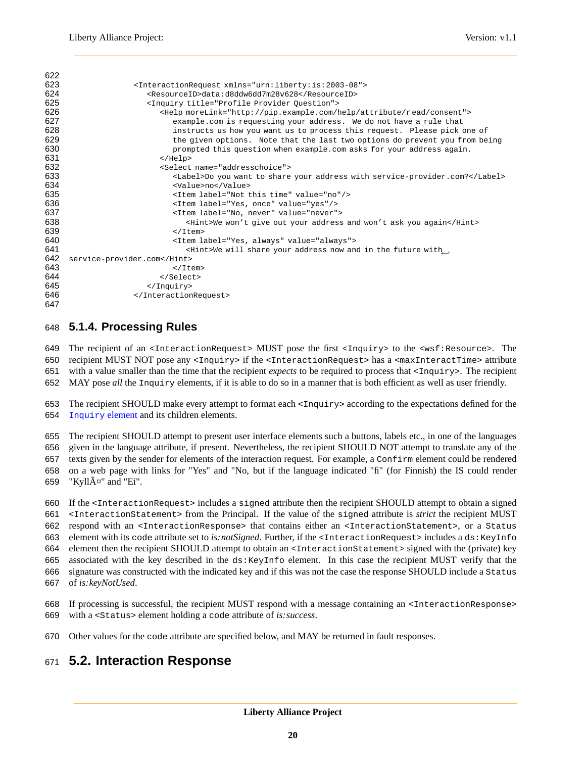<span id="page-19-1"></span>

| 622 |                                                                             |
|-----|-----------------------------------------------------------------------------|
| 623 | <interactionrequest xmlns="urn:liberty:is:2003-08"></interactionrequest>    |
| 624 | <resourceid>data:d8ddw6dd7m28v628</resourceid>                              |
| 625 | <inquiry title="Profile Provider Question"></inquiry>                       |
| 626 | <help morelink="http://pip.example.com/help/attribute/read/consent"></help> |
| 627 | example.com is requesting your address. We do not have a rule that          |
| 628 | instructs us how you want us to process this request. Please pick one of    |
| 629 | the given options. Note that the last two options do prevent you from being |
| 630 | prompted this question when example.com asks for your address again.        |
| 631 | $\alpha$ /Help>                                                             |
| 632 | <select name="addresschoice"></select>                                      |
| 633 | <label>Do you want to share your address with service-provider.com?</label> |
| 634 | <value>no</value>                                                           |
| 635 | <ltem label="Not this time" value="no"></ltem>                              |
| 636 | <item label="Yes, once" value="yes"></item>                                 |
| 637 | <item label="No, never" value="never"></item>                               |
| 638 | <hint>We won't give out your address and won't ask you again</hint>         |
| 639 | $\langle$ /Item>                                                            |
| 640 | <item label="Yes, always" value="always"></item>                            |
| 641 | <hint>We will share your address now and in the future with,</hint>         |
| 642 | service-provider.com                                                        |
| 643 | $\langle$ /Item>                                                            |
| 644 |                                                                             |
| 645 |                                                                             |
| 646 |                                                                             |
| 647 |                                                                             |

### **5.1.4. Processing Rules**

 The recipient of an <InteractionRequest> MUST pose the first <Inquiry> to the <wsf:Resource>. The recipient MUST NOT pose any <Inquiry> if the <InteractionRequest> has a <maxInteractTime> attribute

with a value smaller than the time that the recipient *expects* to be required to process that <Inquiry>. The recipient

MAY pose *all* the Inquiry elements, if it is able to do so in a manner that is both efficient as well as user friendly.

653 The recipient SHOULD make every attempt to format each  $\langle \text{Inquity} \rangle$  according to the expectations defined for the [Inquiry](#page-15-0) element and its children elements.

 The recipient SHOULD attempt to present user interface elements such a buttons, labels etc., in one of the languages given in the language attribute, if present. Nevertheless, the recipient SHOULD NOT attempt to translate any of the 657 texts given by the sender for elements of the interaction request. For example, a  $\text{Confirm}$  element could be rendered on a web page with links for "Yes" and "No, but if the language indicated "fi" (for Finnish) the IS could render

659 "Kyll $A\alpha$ " and "Ei".

 If the <InteractionRequest> includes a signed attribute then the recipient SHOULD attempt to obtain a signed <InteractionStatement> from the Principal. If the value of the signed attribute is *strict* the recipient MUST respond with an <InteractionResponse> that contains either an <InteractionStatement>, or a Status 663 element with its code attribute set to *is:notSigned*. Further, if the <InteractionRequest> includes a ds:KeyInfo element then the recipient SHOULD attempt to obtain an <InteractionStatement> signed with the (private) key associated with the key described in the ds:KeyInfo element. In this case the recipient MUST verify that the signature was constructed with the indicated key and if this was not the case the response SHOULD include a Status of *is:keyNotUsed*.

 If processing is successful, the recipient MUST respond with a message containing an <InteractionResponse> with a <Status> element holding a code attribute of *is:success*.

<span id="page-19-0"></span>Other values for the code attribute are specified below, and MAY be returned in fault responses.

## **5.2. Interaction Response**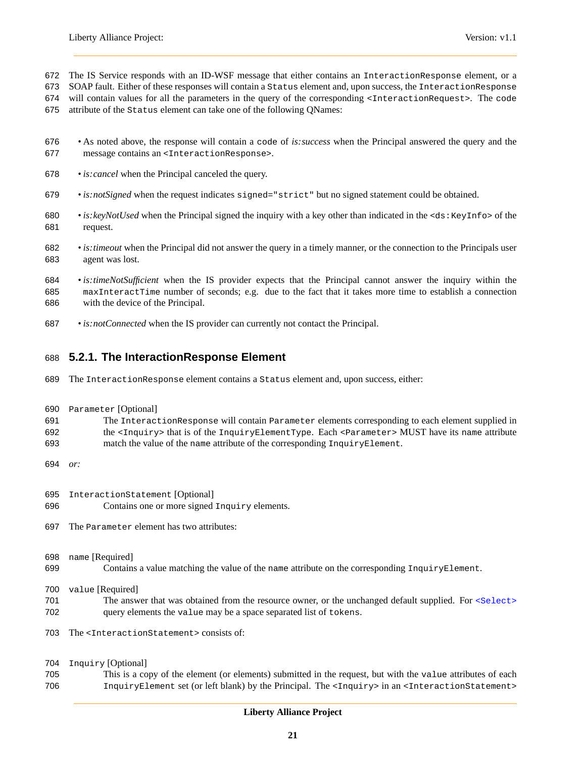- The IS Service responds with an ID-WSF message that either contains an InteractionResponse element, or a
- SOAP fault. Either of these responses will contain a Status element and, upon success, the InteractionResponse
- 674 will contain values for all the parameters in the query of the corresponding <InteractionRequest>. The code
- attribute of the Status element can take one of the following QNames:
- As noted above, the response will contain a code of *is:success* when the Principal answered the query and the message contains an <InteractionResponse>.
- *is:cancel* when the Principal canceled the query.
- *is:notSigned* when the request indicates signed="strict" but no signed statement could be obtained.
- *is:keyNotUsed* when the Principal signed the inquiry with a key other than indicated in the <ds:KeyInfo> of the request.
- *is:timeout* when the Principal did not answer the query in a timely manner, or the connection to the Principals user agent was lost.
- *is:timeNotSufficient* when the IS provider expects that the Principal cannot answer the inquiry within the maxInteractTime number of seconds; e.g. due to the fact that it takes more time to establish a connection with the device of the Principal.
- *is:notConnected* when the IS provider can currently not contact the Principal.

### <span id="page-20-0"></span>**5.2.1. The InteractionResponse Element**

- The InteractionResponse element contains a Status element and, upon success, either:
- Parameter [Optional]
- The InteractionResponse will contain Parameter elements corresponding to each element supplied in the <Inquiry> that is of the InquiryElementType. Each <Parameter> MUST have its name attribute 693 match the value of the name attribute of the corresponding InquiryElement.
- *or:*
- InteractionStatement [Optional]
- Contains one or more signed Inquiry elements.
- The Parameter element has two attributes:

name [Required]

699 Contains a value matching the value of the name attribute on the corresponding InquiryElement.

value [Required]

- 701 The answer that was obtained from the resource owner, or the unchanged default supplied. For <select> query elements the value may be a space separated list of tokens.
- 703 The <InteractionStatement> consists of:

#### Inquiry [Optional]

 This is a copy of the element (or elements) submitted in the request, but with the value attributes of each InquiryElement set (or left blank) by the Principal. The <Inquiry> in an <InteractionStatement>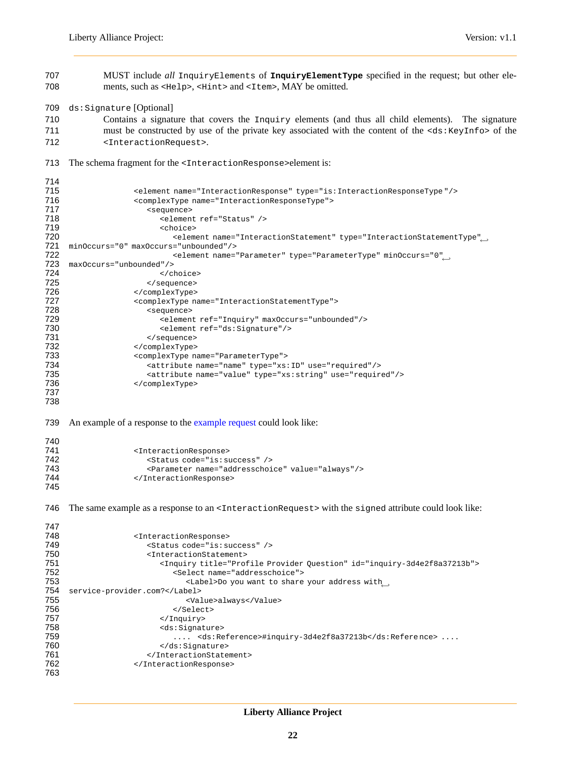MUST include *all* InquiryElements of **InquiryElementType** specified in the request; but other ele-708 ments, such as <Help>, <Hint> and <1tem>, MAY be omitted. ds:Signature [Optional] Contains a signature that covers the Inquiry elements (and thus all child elements). The signature 711 must be constructed by use of the private key associated with the content of the <ds:KeyInfo> of the <InteractionRequest>. 713 The schema fragment for the <InteractionResponse>element is: 715 <element name="InteractionResponse" type="is:InteractionResponseType"/><br>716 <complexType name="InteractionResponseType"> <complexType name="InteractionResponseType"> <sequence> <element ref="Status" /> schoice> <element name="InteractionStatement" type="InteractionStatementType"←- minOccurs="0" maxOccurs="unbounded"/> <element name="Parameter" type="ParameterType" minOccurs="0"←- maxOccurs="unbounded"/> 724 </choice><br>725 </choice> </sequence> 726 </complexType><br>727 <complexType n <complexType name="InteractionStatementType"> <sequence> <element ref="Inquiry" maxOccurs="unbounded"/> 730 <element ref="ds:Signature"/><br>731 </sequence> 731 </sequence><br>732 <complexType> </complexType> <complexType name="ParameterType"> <attribute name="name" type="xs:ID" use="required"/> <attribute name="value" type="xs:string" use="required"/> </complexType> An example of a response to the [example request](#page-19-1) could look like: <InteractionResponse> <Status code="is:success" /> <Parameter name="addresschoice" value="always"/> </InteractionResponse> 746 The same example as a response to an <InteractionRequest> with the signed attribute could look like: <InteractionResponse> <Status code="is:success" /> <InteractionStatement> <Inquiry title="Profile Provider Question" id="inquiry-3d4e2f8a37213b"> <Select name="addresschoice"> <Label>Do you want to share your address with
<sub>--</sub> service-provider.com?</Label> <Value>always</Value> </Select> </Inquiry> <ds:Signature> .... <ds:Reference>#inquiry-3d4e2f8a37213b</ds:Refere nce> .... 760 </ds:Signature><br>761 </InteractionState> </InteractionStatement> 762 </InteractionResponse>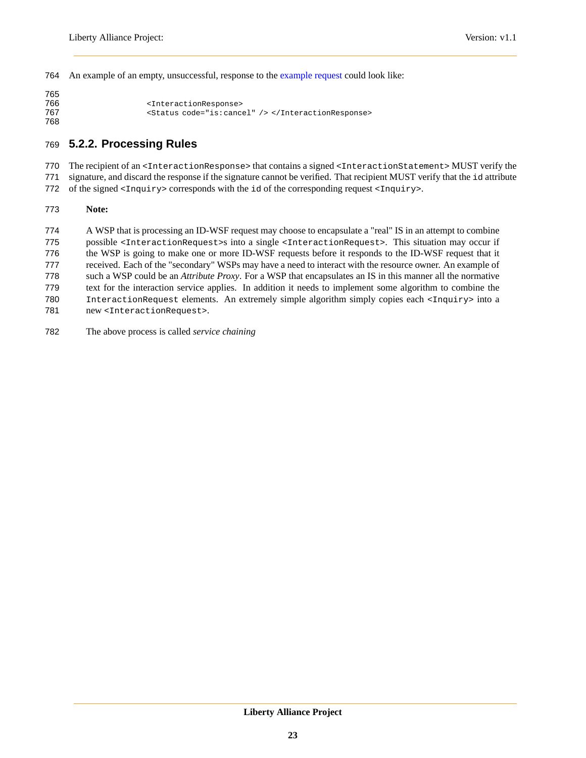An example of an empty, unsuccessful, response to the [example request](#page-19-1) could look like:

```
765
766 <mail@example.com/>
response>
<mail@example.com/>
response>
767 < Status code="is: cancel" /> </InteractionResponse>
768
```
## **5.2.2. Processing Rules**

770 The recipient of an <InteractionResponse> that contains a signed <InteractionStatement> MUST verify the

- signature, and discard the response if the signature cannot be verified. That recipient MUST verify that the id attribute
- of the signed <Inquiry> corresponds with the id of the corresponding request <Inquiry>.

#### <span id="page-22-0"></span>**Note:**

 A WSP that is processing an ID-WSF request may choose to encapsulate a "real" IS in an attempt to combine possible <InteractionRequest>s into a single <InteractionRequest>. This situation may occur if the WSP is going to make one or more ID-WSF requests before it responds to the ID-WSF request that it received. Each of the "secondary" WSPs may have a need to interact with the resource owner. An example of such a WSP could be an *Attribute Proxy*. For a WSP that encapsulates an IS in this manner all the normative

- text for the interaction service applies. In addition it needs to implement some algorithm to combine the InteractionRequest elements. An extremely simple algorithm simply copies each <Inquiry> into a
- 781 new <InteractionRequest>.
- The above process is called *service chaining*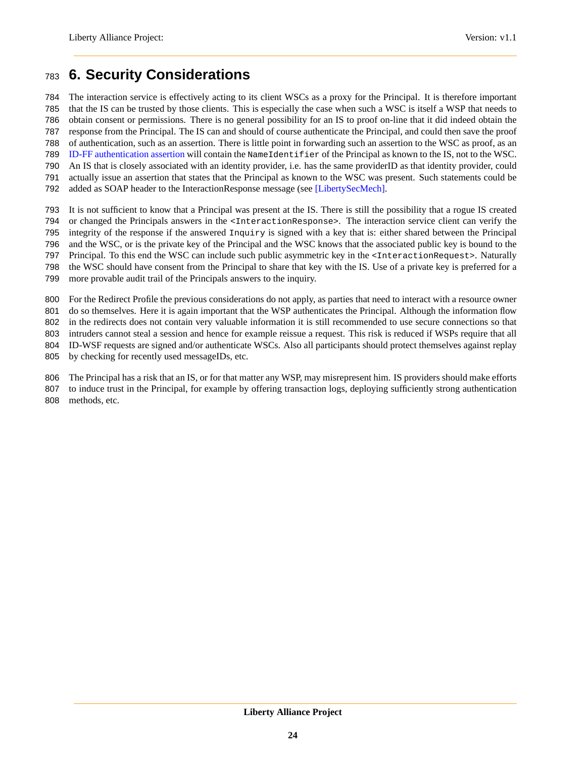## <span id="page-23-0"></span>**6. Security Considerations**

 The interaction service is effectively acting to its client WSCs as a proxy for the Principal. It is therefore important that the IS can be trusted by those clients. This is especially the case when such a WSC is itself a WSP that needs to obtain consent or permissions. There is no general possibility for an IS to proof on-line that it did indeed obtain the response from the Principal. The IS can and should of course authenticate the Principal, and could then save the proof

 of authentication, such as an assertion. There is little point in forwarding such an assertion to the WSC as proof, as an [ID-FF authentication assertion](#page-24-11) will contain the NameIdentifier of the Principal as known to the IS, not to the WSC.

An IS that is closely associated with an identity provider, i.e. has the same providerID as that identity provider, could

actually issue an assertion that states that the Principal as known to the WSC was present. Such statements could be

added as SOAP header to the InteractionResponse message (see [\[LibertySecMech\].](#page-24-9)

 It is not sufficient to know that a Principal was present at the IS. There is still the possibility that a rogue IS created 794 or changed the Principals answers in the <InteractionResponse>. The interaction service client can verify the integrity of the response if the answered Inquiry is signed with a key that is: either shared between the Principal and the WSC, or is the private key of the Principal and the WSC knows that the associated public key is bound to the Principal. To this end the WSC can include such public asymmetric key in the <InteractionRequest>. Naturally

the WSC should have consent from the Principal to share that key with the IS. Use of a private key is preferred for a

more provable audit trail of the Principals answers to the inquiry.

For the Redirect Profile the previous considerations do not apply, as parties that need to interact with a resource owner

do so themselves. Here it is again important that the WSP authenticates the Principal. Although the information flow

in the redirects does not contain very valuable information it is still recommended to use secure connections so that

 intruders cannot steal a session and hence for example reissue a request. This risk is reduced if WSPs require that all ID-WSF requests are signed and/or authenticate WSCs. Also all participants should protect themselves against replay

by checking for recently used messageIDs, etc.

The Principal has a risk that an IS, or for that matter any WSP, may misrepresent him. IS providers should make efforts

to induce trust in the Principal, for example by offering transaction logs, deploying sufficiently strong authentication

methods, etc.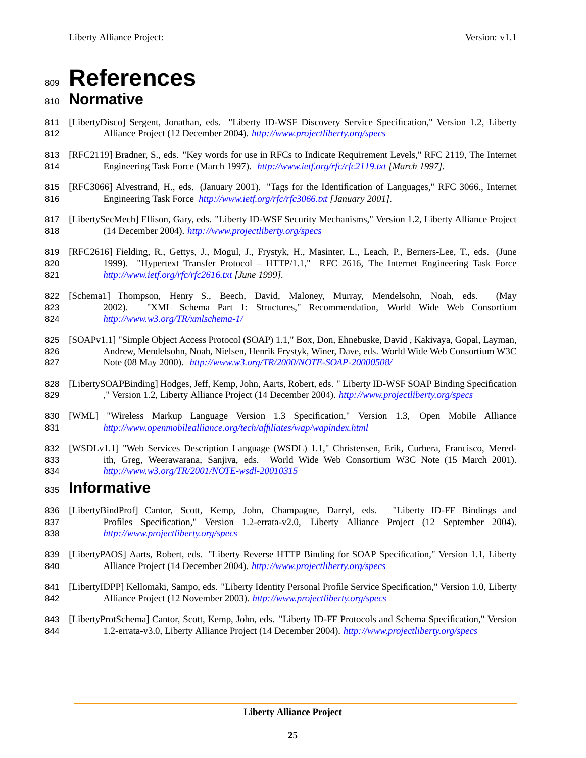# <span id="page-24-0"></span>**References**

## <span id="page-24-3"></span>**Normative**

- [LibertyDisco] Sergent, Jonathan, eds. "Liberty ID-WSF Discovery Service Specification," Version 1.2, Liberty Alliance Project (12 December 2004). *<http://www.projectliberty.org/specs>*
- <span id="page-24-2"></span> [RFC2119] Bradner, S., eds. "Key words for use in RFCs to Indicate Requirement Levels," RFC 2119, The Internet Engineering Task Force (March 1997). *<http://www.ietf.org/rfc/rfc2119.txt> [March 1997].*
- <span id="page-24-7"></span> [RFC3066] Alvestrand, H., eds. (January 2001). "Tags for the Identification of Languages," RFC 3066., Internet Engineering Task Force *<http://www.ietf.org/rfc/rfc3066.txt> [January 2001].*
- <span id="page-24-9"></span> [LibertySecMech] Ellison, Gary, eds. "Liberty ID-WSF Security Mechanisms," Version 1.2, Liberty Alliance Project (14 December 2004). *<http://www.projectliberty.org/specs>*
- <span id="page-24-8"></span> [RFC2616] Fielding, R., Gettys, J., Mogul, J., Frystyk, H., Masinter, L., Leach, P., Berners-Lee, T., eds. (June 820 1999). "Hypertext Transfer Protocol – HTTP/1.1," RFC 2616, The Internet Engineering Task Force *<http://www.ietf.org/rfc/rfc2616.txt> [June 1999].*
- <span id="page-24-1"></span> [Schema1] Thompson, Henry S., Beech, David, Maloney, Murray, Mendelsohn, Noah, eds. (May 2002). "XML Schema Part 1: Structures," Recommendation, World Wide Web Consortium *<http://www.w3.org/TR/xmlschema-1/>*
- <span id="page-24-5"></span> [SOAPv1.1] "Simple Object Access Protocol (SOAP) 1.1," Box, Don, Ehnebuske, David , Kakivaya, Gopal, Layman, Andrew, Mendelsohn, Noah, Nielsen, Henrik Frystyk, Winer, Dave, eds. World Wide Web Consortium W3C Note (08 May 2000). *<http://www.w3.org/TR/2000/NOTE-SOAP-20000508/>*
- <span id="page-24-4"></span> [LibertySOAPBinding] Hodges, Jeff, Kemp, John, Aarts, Robert, eds. " Liberty ID-WSF SOAP Binding Specification ," Version 1.2, Liberty Alliance Project (14 December 2004). *<http://www.projectliberty.org/specs>*
- <span id="page-24-12"></span> [WML] "Wireless Markup Language Version 1.3 Specification," Version 1.3, Open Mobile Alliance *<http://www.openmobilealliance.org/tech/affiliates/wap/wapindex.html>*
- <span id="page-24-6"></span> [WSDLv1.1] "Web Services Description Language (WSDL) 1.1," Christensen, Erik, Curbera, Francisco, Mered- ith, Greg, Weerawarana, Sanjiva, eds. World Wide Web Consortium W3C Note (15 March 2001). *<http://www.w3.org/TR/2001/NOTE-wsdl-20010315>*

## <span id="page-24-10"></span>**Informative**

- [LibertyBindProf] Cantor, Scott, Kemp, John, Champagne, Darryl, eds. "Liberty ID-FF Bindings and Profiles Specification," Version 1.2-errata-v2.0, Liberty Alliance Project (12 September 2004). *<http://www.projectliberty.org/specs>*
- [LibertyPAOS] Aarts, Robert, eds. "Liberty Reverse HTTP Binding for SOAP Specification," Version 1.1, Liberty Alliance Project (14 December 2004). *<http://www.projectliberty.org/specs>*
- [LibertyIDPP] Kellomaki, Sampo, eds. "Liberty Identity Personal Profile Service Specification," Version 1.0, Liberty Alliance Project (12 November 2003). *<http://www.projectliberty.org/specs>*
- <span id="page-24-11"></span> [LibertyProtSchema] Cantor, Scott, Kemp, John, eds. "Liberty ID-FF Protocols and Schema Specification," Version 1.2-errata-v3.0, Liberty Alliance Project (14 December 2004). *<http://www.projectliberty.org/specs>*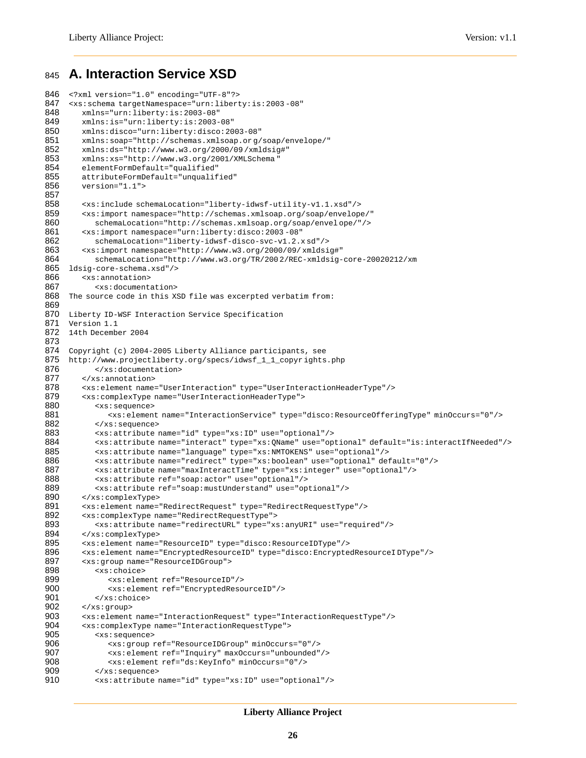## <span id="page-25-0"></span><sup>845</sup> **A. Interaction Service XSD**

```
846 <?xml version="1.0" encoding="UTF-8"?>
      847 <xs:schema targetNamespace="urn:liberty:is:2003 -08"
848 xmlns="urn:liberty:is:2003-08"<br>849 xmlns:is="urn:liberty:is:2003-
849 xmlns:is="urn:liberty:is:2003-08"<br>850 xmlns:disco="urn:liberty:disco:20
850 xmlns:disco="urn:liberty:disco:2003-08"
          851 xmlns:soap="http://schemas.xmlsoap.or g/soap/envelope/"
852 xmlns:ds="http://www.w3.org/2000/09 /xmldsig#"
853 xmlns:xs="http://www.w3.org/2001/XMLSchema"<br>854 elementFormDefault="qualified"
854 elementFormDefault="qualified"
855 attributeFormDefault="unqualified"<br>856 version="1.1">
          version="1.1">
857<br>858
858 <xs:include schemaLocation="liberty-idwsf-util ity-v1.1.xsd"/>
          859 <xs:import namespace="http://schemas.xmlsoap.org/soap/envelope/"
860 schemaLocation="http://schemas.xmlsoap.org/soap/envel ope/"/>
861 <xs:import namespace="urn:liberty:disco:2003 -08"
862 schemaLocation="liberty-idwsf-disco-svc-v1.2.x sd"/><br>863 sxs:import.namespace="http://www.w3.org/2000/09/xmldsi
863 <xs:import namespace="http://www.w3.org/2000/09/xmldsig#"<br>864 schemaLocation="http://www.w3.org/TR/2002/REC-xmldsig-
864 schemaLocation="http://www.w3.org/TR/200 2/REC-xmldsig-core-20020212/xm
865 ldsig-core-schema.xsd"/><br>866 <xs:annotation>
866 <xs:annotation><br>867 <xs:document
              867 <xs:documentation>
868 The source code in this XSD file was excerpted verbatim from:
869
870 Liberty ID-WSF Interaction Service Specification<br>871 Version 1.1
      Version 1.1
872 14th December 2004
873
874 Copyright (c) 2004-2005 Liberty Alliance participants, see
875 http://www.projectliberty.org/specs/idwsf_1_1_copyr ights.php
876 </xs:documentation>
877 </xs:annotation>
878 <xs:element name="UserInteraction" type="UserInteractionHeaderType"/>
          879 <xs:complexType name="UserInteractionHeaderType">
880 <xs:sequence><br>881 <xs:elemen
                  881 <xs:element name="InteractionService" type="disco:ResourceOfferingType" minOccurs="0"/>
882 </xs:sequence><br>883 <xs:attribute
883 <xs:attribute name="id" type="xs:ID" use="optional"/>
884 <xs:attribute name="interact" type="xs:QName" use="optional" default="is:interactIfNeeded"/><br>885 <xs:attribute name="language" type="xs:NMTOKENS" use="optional"/>
885 <xs:attribute name="language" type="xs:NMTOKENS" use="optional"/>
886 <xs:attribute name="redirect" type="xs:boolean" use="optional" default="0"/>
887 <xs:attribute name="maxInteractTime" type="xs:integer" use="optional"/><br>888 <xs:attribute ref="soap:actor" use="optional"/>
888 <xs:attribute ref="soap:actor" use="optional"/>
              889 <xs:attribute ref="soap:mustUnderstand" use="optional"/>
890 </xs:complexType><br>891 <xs:element name=
891 <xs:element name="RedirectRequest" type="RedirectRequestType"/>
          892 <xs:complexType name="RedirectRequestType">
893 \langle x s : \text{attribute name} = "redirectURL" type = "xs : any URL" use = "required" /> 894 \prec /xs : complexType > 894894 </xs:complexType><br>895 <xs:element name=
895 <xs:element name="ResourceID" type="disco:ResourceIDType"/>
          896 <xs:element name="EncryptedResourceID" type="disco:EncryptedResourceI DType"/>
897 <xs:group name="ResourceIDGroup">
898 <xs:choice><br>899 <xs:elem
899 <xs:element ref="ResourceID"/>
                  900 <xs:element ref="EncryptedResourceID"/>
901 \langle x \rangle = \langle y \rangle = \langle y \rangle = \langle y \rangle = \langle y \rangle = \langle y \rangle = \langle y \rangle = \langle y \rangle = \langle y \rangle = \langle y \rangle = \langle y \rangle = \langle y \rangle = \langle y \rangle = \langle y \rangle = \langle y \rangle = \langle y \rangle = \langle y \rangle = \langle y \rangle = \langle y \rangle = \langle y \rangle = \langle y \rangle = \langle y \rangle902 </xs:group>
903 <xs:element name="InteractionRequest" type="InteractionRequestType"/><br>904 <xs:complexType name="InteractionRequestType">
          904 <xs:complexType name="InteractionRequestType">
905 <xs:sequence>
906 <xs:group ref="ResourceIDGroup" minOccurs="0"/>
907 <xs:element ref="Inquiry" maxOccurs="unbounded"/><br>908 <xs:element ref="ds:KevInfo" minOccurs="0"/>
                  908 <xs:element ref="ds:KeyInfo" minOccurs="0"/>
909 </xs:sequence><br>910 <xs:attribute
              910 <xs:attribute name="id" type="xs:ID" use="optional"/>
```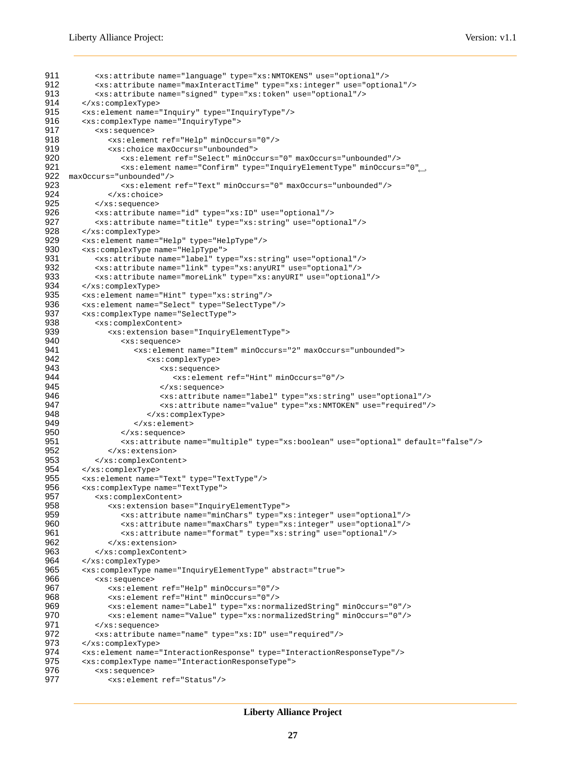```
911 <xs:attribute name="language" type="xs:NMTOKENS" use="optional"/>
912 <xs:attribute name="maxInteractTime" type="xs:integer" use="optional"/><br>913 <xs:attribute name="signed" type="xs:token" use="optional"/>
            913 <xs:attribute name="signed" type="xs:token" use="optional"/>
914 </xs:complexType><br>915 <xs:element name=
915 <xs:element name="Inquiry" type="InquiryType"/><br>916 <xs:complexType name="InquiryType">
         916 <xs:complexType name="InquiryType">
917 <xs:sequence><br>918 < xs:elemen
918 <xs:element ref="Help" minOccurs="0"/><br>919 <xs:choice maxOccurs="unbounded">
919 <xs:choice maxOccurs="unbounded"><br>920 <xs:element ref="Select" minOcc
                   920 <xs:element ref="Select" minOccurs="0" maxOccurs="unbounded"/>
                   <xs:element name="Confirm" type="InquiryElementType" minOccurs="0"←-
921
922 maxOccurs="unbounded"/><br>923 sxs:element
923 <xs:element ref="Text" minOccurs="0" maxOccurs="unbounded"/>
924 </xs:choice><br>925 </xs:sequence>
            925 </xs:sequence>
926 <xs:attribute name="id" type="xs:ID" use="optional"/>
927 <xs:attribute name="title" type="xs:string" use="optional"/><br>928 </xs:complexType>
         928 </xs:complexType>
929 <xs:element name="Help" type="HelpType"/>
930 < xs: complexType name="HelpType"><br>931 < xs: attribute name="label" type
931 <xs:attribute name="label" type="xs:string" use="optional"/><br>932 <xs:attribute name="link" type="xs:anyURI" use="optional"/>
            932 <xs:attribute name="link" type="xs:anyURI" use="optional"/>
933 <xs:attribute name="moreLink" type="xs:anyURI" use="optional"/>
934 </xs:complexType><br>935 <xs:element name=
935 <xs:element name="Hint" type="xs:string"/>
         936 <xs:element name="Select" type="SelectType"/>
937 <xs:complexType name="SelectType">
938 <xs:complexContent><br>939 <xs:extension bas
939 <xs:extension base="InquiryElementType"><br>940 <xs:sequence>
                   940 <xs:sequence>
941 \leq x s :element name="Item" minOccurs="2" maxOccurs="unbounded"><br>942 \leq x s :complexType>
942 <xs:complexType>
943 <xs:sequence><br>944 <xs:sequence>
                                944 <xs:element ref="Hint" minOccurs="0"/>
945 > \frac{945}{1000} </xs:sequence>
946 <xs:attribute name="label" type="xs:string" use="optional"/>
                             947 <xs:attribute name="value" type="xs:NMTOKEN" use="required"/>
948 </xs:complexType>
949 </xs:element><br>950 </xs:sequence>
950 </xs:sequence>
951 <xs:attribute name="multiple" type="xs:boolean" use="optional" default="false"/><br>952 </xs:extension>
                952 </xs:extension>
953 </xs:complexContent>
954 </xs:complexType><br>955 <xs:element.name=
         955 <xs:element name="Text" type="TextType"/>
956 <xs:complexType name="TextType">
957 <xs:complexContent><br>958 <xs:extension bas
958 <xs:extension base="InquiryElementType">
959 <xs:attribute name="minChars" type="xs:integer" use="optional"/>
                   960 <xs:attribute name="maxChars" type="xs:integer" use="optional"/>
961 <xs:attribute name="format" type="xs:string" use="optional"/>
962 </xs:extension><br>963 </xs:complexConten
            963 </xs:complexContent>
964 </xs:complexType>
965 <xs:complexType name="InquiryElementType" abstract="true"><br>966 <xs:sequence>
966 <xs:sequence>
967 <xs:element ref="Help" minOccurs="0"/><br>968 <xs:element ref="Hint" minOccurs="0"/>
                968 <xs:element ref="Hint" minOccurs="0"/>
969 <xs:element name="Label" type="xs:normalizedString" minOccurs="0"/>
970 <xs:element name="Value" type="xs:normalizedString" minOccurs="0"/>
            971 </xs:sequence>
972 <xs:attribute name="name" type="xs:ID" use="required"/>
973 </xs:complexType><br>974 <xs:element name=
974 <xs:element name="InteractionResponse" type="InteractionResponseType"/><br>975 <xs:complexType name="InteractionResponseType">
975 <xs:complexType name="InteractionResponseType"><br>976 <xs:sequence>
            976 <xs:sequence>
977 <xs:element ref="Status"/>
```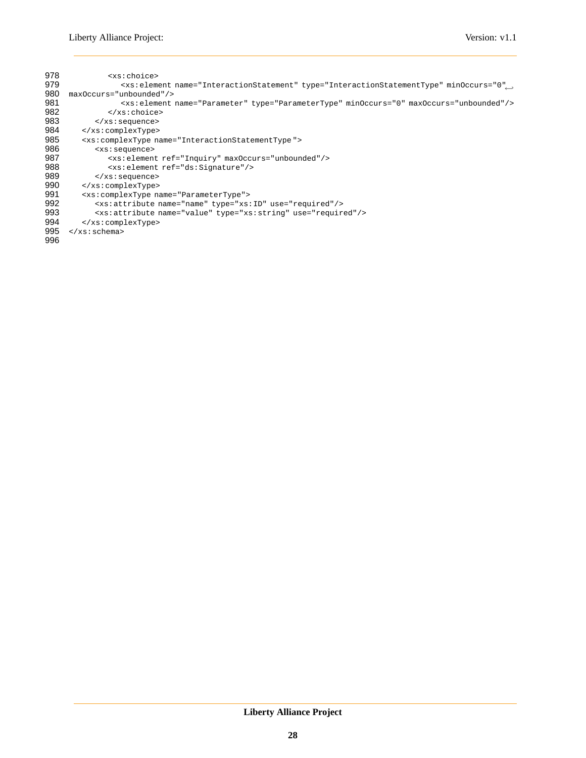| 978 | <xs:choice></xs:choice>                                                                                         |
|-----|-----------------------------------------------------------------------------------------------------------------|
| 979 | <xs:element ,<="" minoccurs="0" name="InteractionStatement" th="" type="InteractionStatementType"></xs:element> |
| 980 | maxOccurs="unbounded"/>                                                                                         |
| 981 | <xs:element maxoccurs="unbounded" minoccurs="0" name="Parameter" type="ParameterType"></xs:element>             |
| 982 | $\langle xs:choice\rangle$                                                                                      |
| 983 | $\langle xs : \text{sequence} \rangle$                                                                          |
| 984 |                                                                                                                 |
| 985 | <xs:complextype name="InteractionStatementType"></xs:complextype>                                               |
| 986 | <xs:sequence></xs:sequence>                                                                                     |
| 987 | <xs:element maxoccurs="unbounded" ref="Inquiry"></xs:element>                                                   |
| 988 | <xs: element="" ref="ds: Signature"></xs:>                                                                      |
| 989 | $\langle xs : \text{sequence} \rangle$                                                                          |
| 990 |                                                                                                                 |
| 991 | <xs: complextype="" name="ParameterType"></xs:>                                                                 |
| 992 | <xs:attribute name="name" type="xs:ID" use="required"></xs:attribute>                                           |
| 993 | <xs:attribute name="value" type="xs:string" use="required"></xs:attribute>                                      |
| 994 |                                                                                                                 |
| 995 | $\langle x s : \text{scheme}\rangle$                                                                            |
| 996 |                                                                                                                 |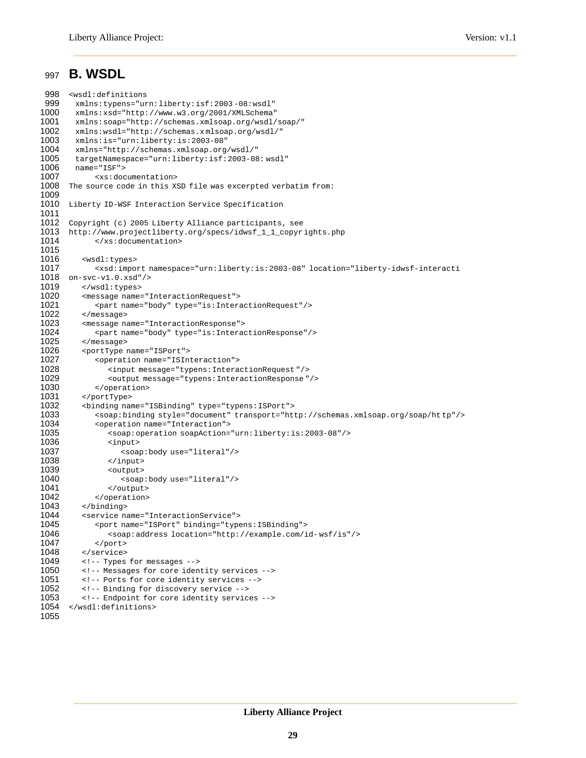### <span id="page-28-0"></span><sup>997</sup> **B. WSDL**

```
998 <wsdl:definitions<br>999 xmlns:typens="ur
         999 xmlns:typens="urn:liberty:isf:2003 -08:wsdl"
1000 xmlns:xsd="http://www.w3.org/2001/XMLSchema"<br>1001 xmlns:soap="http://schemas.xmlsoap.org/wsdl/
1001 xmlns:soap="http://schemas.xmlsoap.org/wsdl/soap/"<br>1002 xmlns:wsdl="http://schemas.xmlsoap.org/wsdl/"
1002 xmlns:wsdl="http://schemas.xmlsoap.org/wsdl/"<br>1003 xmlns:is="urn:liberty:is:2003-08"
1003 xmlns:is="urn:liberty:is:2003-08"
         1004 xmlns="http://schemas.xmlsoap.org/wsdl/"
1005 targetNamespace="urn:liberty:isf:2003-08: wsdl"<br>1006 name="ISF">
1006 name="ISF"><br>1007 <xs:doc
               <xs:documentation>
1008 The source code in this XSD file was excerpted verbatim from:
1009
       Liberty ID-WSF Interaction Service Specification
1011
1012 Copyright (c) 2005 Liberty Alliance participants, see
1013 http://www.projectliberty.org/specs/idwsf_1_1_copyrights.php<br>1014 </xs:documentation>
               </xs:documentation>
1015
1016 <wsdl:types><br>1017 <xsd:impo
1017 <xsd:import namespace="urn:liberty:is:2003-08" location="liberty-idwsf-interacti<br>1018 on-svc-v1.0.xsd"/>
        on-svc-v1.0.xsd''/1019 </wsdl:types>
1020 <message name="InteractionRequest">
1021 <part name="body" type="is:InteractionRequest"/><br>1022 </message>
1022 </message><br>1023 <message n
            1023 <message name="InteractionResponse">
1024 <part name="body" type="is:InteractionResponse"/><br>1025 </message>
            </message>
1026 <portType name="ISPort"><br>1027 <operation name="ISIn
1027 < operation name="ISInteraction"><br>1028 < input message="typens:Intera
                   1028 <input message="typens:InteractionRequest "/>
1029 < coutput message="typens:InteractionResponse "/><br>1030 </ operation>
1030 </operation><br>1031 </portType>
1031 </portType><br>1032 <br/>binding nam
1032 <binding name="ISBinding" type="typens:ISPort">
               1033 <soap:binding style="document" transport="http://schemas.xmlsoap.org/soap/ht tp"/>
1034 < operation name="Interaction"><br>1035 < soap: operation soapAction=
1035 <soap:operation soapAction="urn:liberty:is:2003-08"/>
                   1036 <input>
1037 <soap:body use="literal"/><br>1038 </input>
1038 </input>
1039 <output><br>1040 <soap
1040 <soap:body use="literal"/><br>1041 </output>
                   </output>
1042 </operation><br>1043 </binding>
1043 </binding><br>1044 <service na
            1044 <service name="InteractionService">
1045 <port name="ISPort" binding="typens:ISBinding"><br>1046 <soap:address location="http://example.com/i
1046 <soap:address location="http://example.com/id-wsf/is"/><br>1047 </port>
1047 </port><br>1048 </service>
            </service>
1049 <!-- Types for messages -->
1050 <!-- Messages for core identity services --><br>1051 <!-- Ports for core identity services -->
1051 <!-- Ports for core identity services --><br>1052 <!-- Binding for discovery service -->
            1052 <!-- Binding for discovery service -->
1053 <!-- Endpoint for core identity services --><br>1054 </wsdl:definitions>
        </wsdl:definitions>
1055
```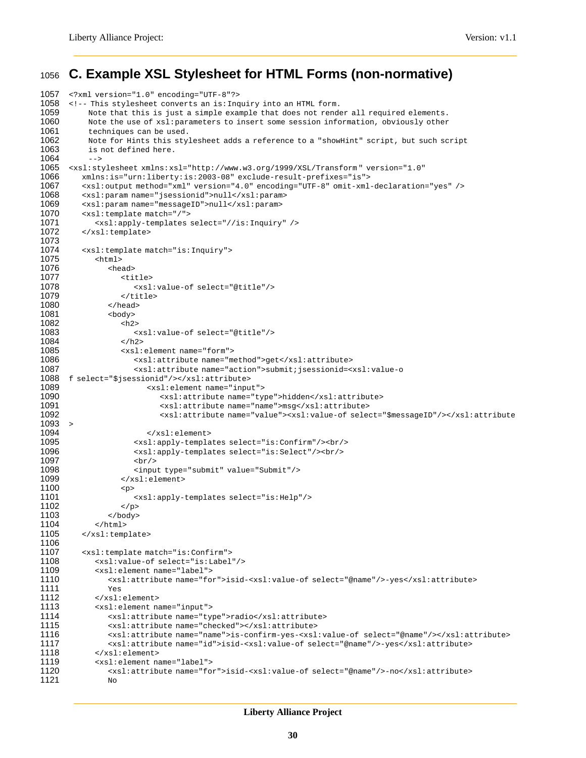## <span id="page-29-0"></span><sup>1056</sup> **C. Example XSL Stylesheet for HTML Forms (non-normative)**

```
1057 <?xml version="1.0" encoding="UTF-8"?>
       1058 <!-- This stylesheet converts an is:Inquiry into an HTML form.
1059 Note that this is just a simple example that does not render all required elements.<br>1060 Note the use of xsl: parameters to insert some session information, obviously other
1060 Note the use of xsl:parameters to insert some session information, obviously other<br>1061 techniques can be used.
1061 techniques can be used.<br>1062 Note for Hints this sty
1062 Note for Hints this stylesheet adds a reference to a "showHint" script, but such script 1063 is not defined here.
            is not defined here.
1064 --><br>1065 <xsl:st
1065 <xsl:stylesheet xmlns:xsl="http://www.w3.org/1999/XSL/Transform " version="1.0"
           1066 xmlns:is="urn:liberty:is:2003-08" exclude-result-prefixes="is">
1067 <xsl:output method="xml" version="4.0" encoding="UTF-8" omit-xml-declaration="yes" /><br>1068 <xsl:param name="isessionid">null</xsl:param>
1068 <xsl:param name="jsessionid">null</xsl:param>
1069 <xsl:param name="messageID">null</xsl:param><br>1070 <xsl:template match="/">
           <xsl:template match="/">
1071 <xsl:apply-templates select="//is:Inquiry" />
1072 </xsl:template>
1073
1074 <xsl:template match="is:Inquiry">
1075 <html><br>1076 <html
1076 <head>
1077 <title>
1078 <xsl:value-of select="@title"/><br>1079 </title>
1079 </title><br>1080 </head>
1080 </head><br>1081 <br/>>body>
                  <body>
1082 <h2>
1083 <xsl:value-of select="@title"/>
1084 </h2>
1085 <xsl:element name="form"><br>1086 <xsl:attribute name="m
                         <xsl:attribute name="method">get</xsl:attribute>
1087 <xsl:attribute name="action">submit;jsessionid=<xsl:value-o
1088 f select="$jsessionid"/></xsl:attribute>
1089 <xsl:element name="input">
1090 \leftarrow \leftarrow \leftarrow \leftarrow \leftarrow \leftarrow \leftarrow \leftarrow \leftarrow \leftarrow \leftarrow \leftarrow \leftarrow \leftarrow \leftarrow \leftarrow \leftarrow \leftarrow \leftarrow \leftarrow \leftarrow \leftarrow \leftarrow \leftarrow \leftarrow \leftarrow \leftarrow \leftarrow \leftarrow \leftarrow \leftarrow \leftarrow \leftarrow \leftarrow \leftarrow \leftarrow 1091 <xsl:attribute name="name">msg</xsl:attribute>
                                1092 <xsl:attribute name="value"><xsl:value-of select="$messageID"/></xsl:attribute
1093 >
1094 </xsl:element><br>1095 </xsl:apply-templa
1095 <xsl:apply-templates select="is:Confirm"/><br/>br/>1096 <xsl:apply-templates select="is:Select"/><br/>
1096 \langle xsl:apply-templates select="is:Select*/\rangle<br>1097 \langle br/ \rangle1097 <br/>
1098 <input type="submit" value="Submit"/><br>1099 </xsl:element>
                     </xsl:element>
1100 \left( \text{p} \right)1101 <xsl:apply-templates select="is:Help"/>
1102 </p><br>1103 </body>
                  </body>
1104 \left\langle \right\rangle /html><br>1105 \left\langle \right\rangle /xsl:temp
           </xsl:template>
1106<br>1107
           <xsl:template match="is:Confirm">
1108 <xsl:value-of select="is:Label"/>
1109 <xsl:element name="label"><br>1110 <xsl:attribute name="fo
                  1110 <xsl:attribute name="for">isid-<xsl:value-of select="@name"/>-yes</xsl:attribute>
1111 Yes
1112 </xsl:element>
1113 <xsl:element name="input">
                  <xsl:attribute name="type">radio</xsl:attribute>
1115 <xsl:attribute name="checked"></xsl:attribute>
1116 <xsl:attribute name="name">is-confirm-yes-<xsl:value-of select="@name"/></xsl:attribute>
1117 <xsl:attribute name="id">isid-<xsl:value-of select="@name"/>-yes</xsl:attribute><br>1118 </xsl:element>
1118 </xsl:element><br>1119 <xsl:element na
              <xsl:element name="label">
1120 <xsl:attribute name="for">isid-<xsl:value-of select="@name"/>-no</xsl:attribute>
1121 No
```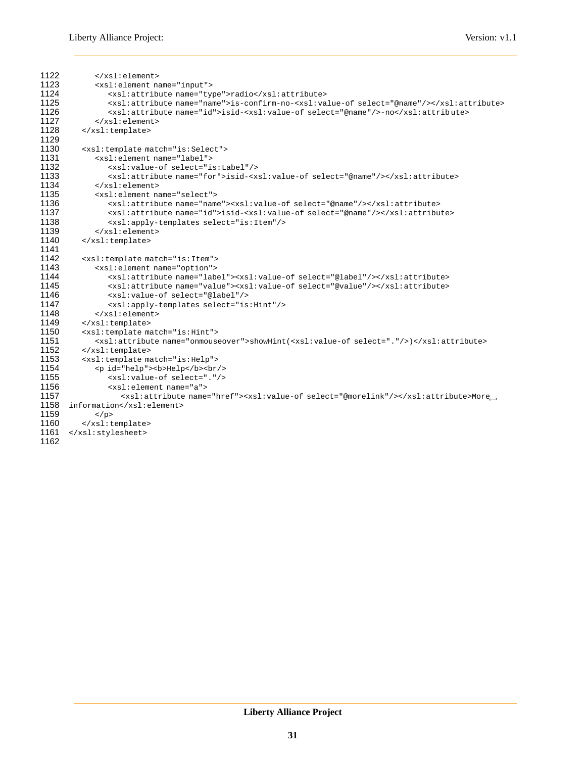```
1122 </xsl:element><br>1123 <xsl:element na
1123 <xsl:element name="input">
                    1124 <xsl:attribute name="type">radio</xsl:attribute>
1125 <xsl:attribute name="name">is-confirm-no-<xsl:value-of select="@name"/></xsl:attribute><br>1126 <xsl:attribute name="id">isid-<xsl:value-of select="@name"/>-no</xsl:attribute>
1126 <xsl:attribute name="id">isid-<xsl:value-of select="@name"/>-no</xsl:attribute><br>1127 </xsl:element>
1127 </xsl:element><br>1128 </xsl:template>
            </xsl:template>
1129
1130 <xsl:template match="is:Select">
1131 <xsl:element name="label"><br>1132 <xsl:value-of select="i
                    1132 <xsl:value-of select="is:Label"/>
1133 <xsl:attribute name="for">isid-<xsl:value-of select="@name"/></xsl:attribute><br>1134 </xsl:element>
1134 </xsl:element>
1135 <xsl:element name="select"><br>1136 <xsl:attribute name="name
1136 <xsl:attribute name="name"><xsl:value-of select="@name"/></xsl:attribute>
1137 <xsl:attribute name="id">isid-<xsl:value-of select="@name"/></xsl:attribute>
1138 <xsl:apply-templates select="is:Item"/><br>1139 </xsl:element>
1139 \langle x \rangle /xsl:element><br>1140 \langle x \rangle /xsl:template>
            </xsl:template>
1141
1142 <xsl:template match="is:Item"><br>1143 <xsl:element name="option">
                <xsl:element name="option">
1144 <xsl:attribute name="label"><xsl:value-of select="@label"/></xsl:attribute><br>1145 <xsl:attribute name="value"><xsl:value-of select="@value"/></xsl:attribute>
1145 <xsl:attribute name="value"><xsl:value-of select="@value"/></xsl:attribute><br>1146 <xsl:value-of select="@label"/>
1146 <xsl:value-of select="@label"/><br>1147 <xsl:apply-templates select="is
1147 <xsl:apply-templates select="is:Hint"/><br>1148 </xsl:element>
                </xsl:element>
1149 </xsl:template><br>1150 <xsl:template ma
1150 <xsl:template match="is:Hint"><br>1151 <xsl:attribute name="onmouse
               1151 <xsl:attribute name="onmouseover">showHint(<xsl:value-of select="."/>)</xsl:attribute>
1152 </xsl:template><br>1153 <xsl:template ma
1153 <xsl:template match="is:Help"><br>1154 <p id="help"><b>Help</b><br/>>br/
1154 <p id="help"><b>Help</b><br/>
1155 <xsl:value-of select="."/><br>1156 <xsl:element name="a">
                    1156 <xsl:element name="a">
                       <xsl:attribute name="href"><xsl:value-of select="@morelink"/></xsl:attribute>More←
1157
1158 information</xsl:element>
1159 \lt/p1160 \langle xsl:template \rangle<br>1161 \langle xsl:styleelse \rangle</xsl:stylesheet>
1162
```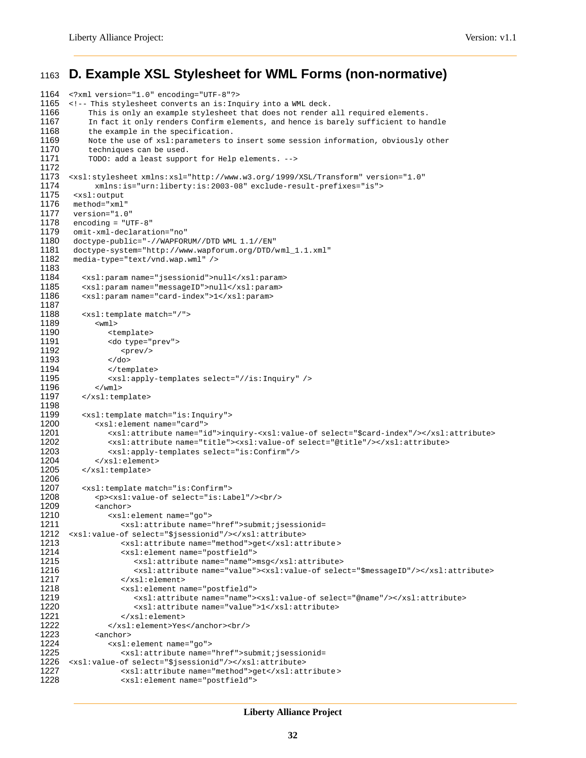## <span id="page-31-0"></span><sup>1163</sup> **D. Example XSL Stylesheet for WML Forms (non-normative)**

```
1164 <?xml version="1.0" encoding="UTF-8"?>
       1165 <!-- This stylesheet converts an is:Inquiry into a WML deck.
1166 This is only an example stylesheet that does not render all required elements.<br>1167 In fact it only renders Confirm elements, and hence is barely sufficient to ha
1167 In fact it only renders Confirm elements, and hence is barely sufficient to handle<br>1168 the example in the specification.
1168 the example in the specification.<br>1169 Note the use of xsl: parameters to
1169 Note the use of xsl:parameters to insert some session information, obviously other<br>1170 techniques can be used.
             techniques can be used.
1171 TODO: add a least support for Help elements. -->
1172
1173 <xsl:stylesheet xmlns:xsl="http://www.w3.org/ 1999/XSL/Transform" version="1.0"
1174 xmlns:is="urn:liberty:is:2003-08" exclude-result-prefixes="is"><br>1175 <xsl:output
1175 <xsl:output<br>1176 method="xml
1176 method="xml"<br>1177 version="1.0
        version="1.0"
1178 encoding = "UTF-8"1179 omit-xml-declaration="no"<br>1180 doctype-public="-//WAPFOR
1180 doctype-public="-//WAPFORUM//DTD WML 1.1//EN"
1181 doctype-system="http://www.wapforum.org/DTD/wml_1.1.xml"<br>1182 media-type="text/vnd.wap.wml"/>
        media-type="text/vnd.wap.wml" />
1183
1184 <xsl:param name="jsessionid">null</xsl:param>
1185 <xsl:param name="messageID">null</xsl:param><br>1186 <xsl:param name="card-index">1</xsl:param>
           1186 <xsl:param name="card-index">1</xsl:param>
1187
1188 <xsl:template match="/">
              <wm1>1190 > <template><br>1191 > <do type="1
                  <do type="prev">
1192 <prev/>
1193 </do>
                  </template>
1195 <xsl:apply-templates select="//is:Inquiry" /><br>1196 </wml>
1196 </wml>
           </xsl:template>
1198<br>1199
           <xsl:template match="is:Inquiry">
1200 <xsl:element name="card"><br>1201 <xsl:attribute name="i
1201 <xsl:attribute name="id">inquiry-<xsl:value-of select="$card-index"/></xsl:attribute><br>1202 <xsl:attribute name="title"><xsl:value-of select="@title"/></xsl:attribute>
1202 <xsl:attribute name="title"><xsl:value-of select="@title"/></xsl:attribute><br>1203 <xsl:apply-templates select="is:Confirm"/>
1203 <xsl:apply-templates select="is:Confirm"/><br>1204 </xsl:element>
1204 </xsl:element><br>1205 </xsl:template>
           </xsl:template>
1206
           <xsl:template match="is:Confirm">
1208 <p><xsl:value-of select="is:Label"/><br/>
1209 <anchor><br>1210 <xs1:
                  1210 <xsl:element name="go">
1211 <xsl:attribute name="href">submit;jsessionid=
1212 <xsl:value-of select="$jsessionid"/></xsl:attribute>
                     <xsl:attribute name="method">get</xsl:attribute>
1214 <xsl:element name="postfield">
1215 <xsl:attribute name="name">msg</xsl:attribute>
1216 <xsl:attribute name="value"><xsl:value-of select="$messageID"/></xsl:attribute><br>1217 </xsl:element>
                      1217 </xsl:element>
1218 <xsl:element name="postfield">
1219 \langle xsl:attribute \rangle and \langle xsl:attribute \rangle and \langle xsl:active \rangle and \langle xsl:attribute \rangle and \langle xsl:attribute \rangle1220 <xsl:attribute name="value">1</xsl:attribute><br>1221 </xsl:element>
1221 </xsl:element><br>1222 </xsl:element>Yes
                  </xsl:element>Yes</anchor><br/> <br/> </a>
1223 <anchor>
1224 <xsl:element name="go"><br>1225 <xsl:attribute name="
1225 <xsl:attribute name="href">submit;jsessionid=<br>1226 <xsl:value-of select="$jsessionid"/></xsl:attribute>
       1226 <xsl:value-of select="$jsessionid"/></xsl:attribute>
1227 <xsl:attribute name="method">get</xsl:attribute >
1228 <xsl:element name="postfield">
```